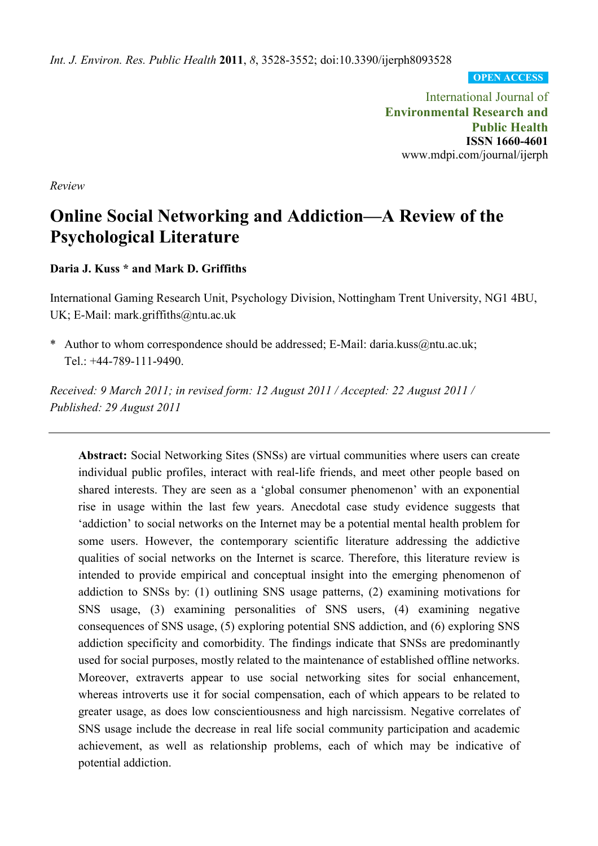Int. J. Environ. Res. Public Health 2011, 8, 3528-3552; doi:10.3390/ijerph8093528

**OPEN ACCESS** 

International Journal of Environmental Research and Public Health ISSN 1660-4601 www.mdpi.com/journal/ijerph

Review

# Online Social Networking and Addiction—A Review of the Psychological Literature

# Daria J. Kuss \* and Mark D. Griffiths

International Gaming Research Unit, Psychology Division, Nottingham Trent University, NG1 4BU, UK; E-Mail: mark.griffiths@ntu.ac.uk

\* Author to whom correspondence should be addressed; E-Mail: daria.kuss@ntu.ac.uk; Tel.: +44-789-111-9490.

Received: 9 March 2011; in revised form: 12 August 2011 / Accepted: 22 August 2011 / Published: 29 August 2011

Abstract: Social Networking Sites (SNSs) are virtual communities where users can create individual public profiles, interact with real-life friends, and meet other people based on shared interests. They are seen as a 'global consumer phenomenon' with an exponential rise in usage within the last few years. Anecdotal case study evidence suggests that 'addiction' to social networks on the Internet may be a potential mental health problem for some users. However, the contemporary scientific literature addressing the addictive qualities of social networks on the Internet is scarce. Therefore, this literature review is intended to provide empirical and conceptual insight into the emerging phenomenon of addiction to SNSs by: (1) outlining SNS usage patterns, (2) examining motivations for SNS usage, (3) examining personalities of SNS users, (4) examining negative consequences of SNS usage, (5) exploring potential SNS addiction, and (6) exploring SNS addiction specificity and comorbidity. The findings indicate that SNSs are predominantly used for social purposes, mostly related to the maintenance of established offline networks. Moreover, extraverts appear to use social networking sites for social enhancement, whereas introverts use it for social compensation, each of which appears to be related to greater usage, as does low conscientiousness and high narcissism. Negative correlates of SNS usage include the decrease in real life social community participation and academic achievement, as well as relationship problems, each of which may be indicative of potential addiction.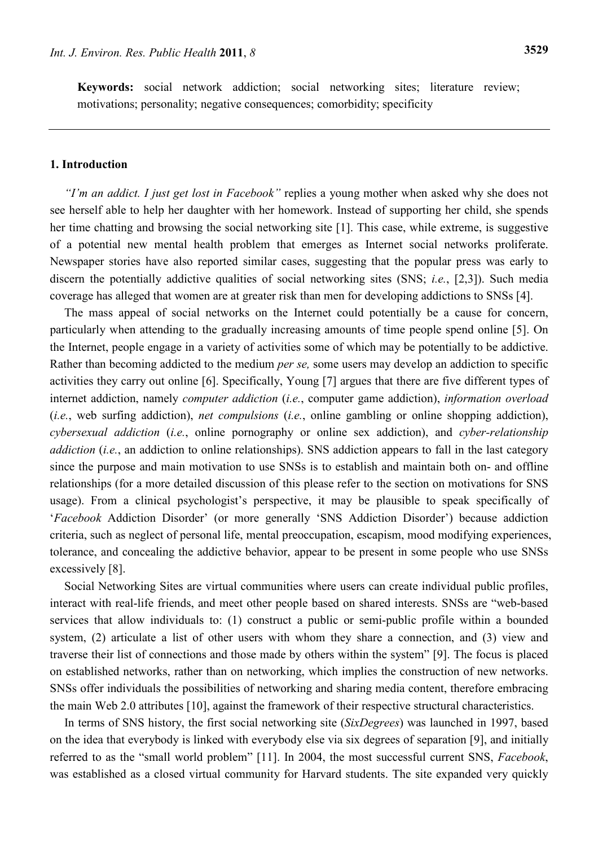Keywords: social network addiction; social networking sites; literature review; motivations; personality; negative consequences; comorbidity; specificity

#### 1. Introduction

"I'm an addict. I just get lost in Facebook" replies a young mother when asked why she does not see herself able to help her daughter with her homework. Instead of supporting her child, she spends her time chatting and browsing the social networking site [1]. This case, while extreme, is suggestive of a potential new mental health problem that emerges as Internet social networks proliferate. Newspaper stories have also reported similar cases, suggesting that the popular press was early to discern the potentially addictive qualities of social networking sites (SNS; i.e., [2,3]). Such media coverage has alleged that women are at greater risk than men for developing addictions to SNSs [4].

The mass appeal of social networks on the Internet could potentially be a cause for concern, particularly when attending to the gradually increasing amounts of time people spend online [5]. On the Internet, people engage in a variety of activities some of which may be potentially to be addictive. Rather than becoming addicted to the medium *per se*, some users may develop an addiction to specific activities they carry out online [6]. Specifically, Young [7] argues that there are five different types of internet addiction, namely *computer addiction* (*i.e.*, computer game addiction), *information overload* (i.e., web surfing addiction), net compulsions (i.e., online gambling or online shopping addiction), cybersexual addiction (i.e., online pornography or online sex addiction), and cyber-relationship addiction (i.e., an addiction to online relationships). SNS addiction appears to fall in the last category since the purpose and main motivation to use SNSs is to establish and maintain both on- and offline relationships (for a more detailed discussion of this please refer to the section on motivations for SNS usage). From a clinical psychologist's perspective, it may be plausible to speak specifically of 'Facebook Addiction Disorder' (or more generally 'SNS Addiction Disorder') because addiction criteria, such as neglect of personal life, mental preoccupation, escapism, mood modifying experiences, tolerance, and concealing the addictive behavior, appear to be present in some people who use SNSs excessively [8].

Social Networking Sites are virtual communities where users can create individual public profiles, interact with real-life friends, and meet other people based on shared interests. SNSs are "web-based services that allow individuals to: (1) construct a public or semi-public profile within a bounded system, (2) articulate a list of other users with whom they share a connection, and (3) view and traverse their list of connections and those made by others within the system" [9]. The focus is placed on established networks, rather than on networking, which implies the construction of new networks. SNSs offer individuals the possibilities of networking and sharing media content, therefore embracing the main Web 2.0 attributes [10], against the framework of their respective structural characteristics.

In terms of SNS history, the first social networking site (SixDegrees) was launched in 1997, based on the idea that everybody is linked with everybody else via six degrees of separation [9], and initially referred to as the "small world problem" [11]. In 2004, the most successful current SNS, Facebook, was established as a closed virtual community for Harvard students. The site expanded very quickly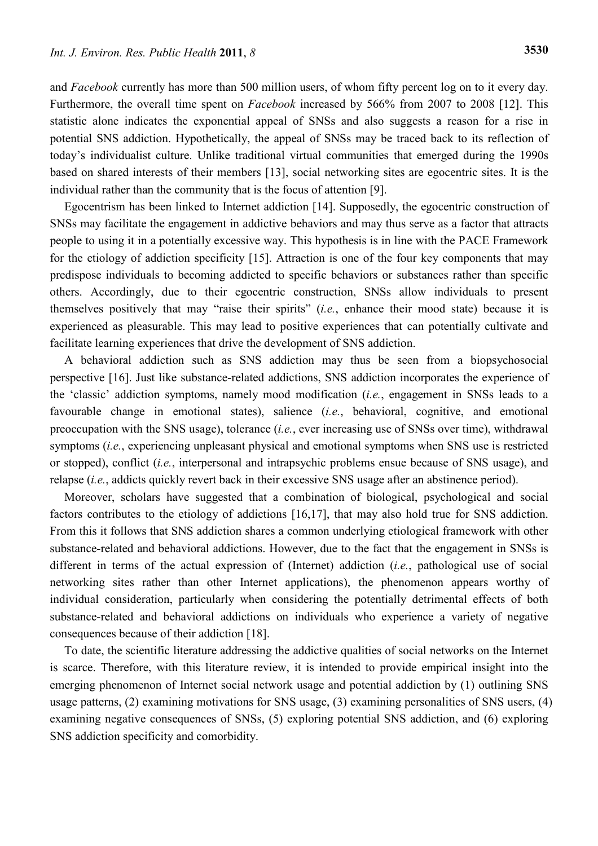and Facebook currently has more than 500 million users, of whom fifty percent log on to it every day. Furthermore, the overall time spent on *Facebook* increased by 566% from 2007 to 2008 [12]. This statistic alone indicates the exponential appeal of SNSs and also suggests a reason for a rise in potential SNS addiction. Hypothetically, the appeal of SNSs may be traced back to its reflection of today's individualist culture. Unlike traditional virtual communities that emerged during the 1990s based on shared interests of their members [13], social networking sites are egocentric sites. It is the individual rather than the community that is the focus of attention [9].

Egocentrism has been linked to Internet addiction [14]. Supposedly, the egocentric construction of SNSs may facilitate the engagement in addictive behaviors and may thus serve as a factor that attracts people to using it in a potentially excessive way. This hypothesis is in line with the PACE Framework for the etiology of addiction specificity [15]. Attraction is one of the four key components that may predispose individuals to becoming addicted to specific behaviors or substances rather than specific others. Accordingly, due to their egocentric construction, SNSs allow individuals to present themselves positively that may "raise their spirits" (i.e., enhance their mood state) because it is experienced as pleasurable. This may lead to positive experiences that can potentially cultivate and facilitate learning experiences that drive the development of SNS addiction.

A behavioral addiction such as SNS addiction may thus be seen from a biopsychosocial perspective [16]. Just like substance-related addictions, SNS addiction incorporates the experience of the 'classic' addiction symptoms, namely mood modification (i.e., engagement in SNSs leads to a favourable change in emotional states), salience (*i.e.*, behavioral, cognitive, and emotional preoccupation with the SNS usage), tolerance (*i.e.*, ever increasing use of SNSs over time), withdrawal symptoms *(i.e., experiencing unpleasant physical and emotional symptoms when SNS use is restricted* or stopped), conflict (i.e., interpersonal and intrapsychic problems ensue because of SNS usage), and relapse (i.e., addicts quickly revert back in their excessive SNS usage after an abstinence period).

Moreover, scholars have suggested that a combination of biological, psychological and social factors contributes to the etiology of addictions [16,17], that may also hold true for SNS addiction. From this it follows that SNS addiction shares a common underlying etiological framework with other substance-related and behavioral addictions. However, due to the fact that the engagement in SNSs is different in terms of the actual expression of (Internet) addiction (*i.e.*, pathological use of social networking sites rather than other Internet applications), the phenomenon appears worthy of individual consideration, particularly when considering the potentially detrimental effects of both substance-related and behavioral addictions on individuals who experience a variety of negative consequences because of their addiction [18].

To date, the scientific literature addressing the addictive qualities of social networks on the Internet is scarce. Therefore, with this literature review, it is intended to provide empirical insight into the emerging phenomenon of Internet social network usage and potential addiction by (1) outlining SNS usage patterns, (2) examining motivations for SNS usage, (3) examining personalities of SNS users, (4) examining negative consequences of SNSs, (5) exploring potential SNS addiction, and (6) exploring SNS addiction specificity and comorbidity.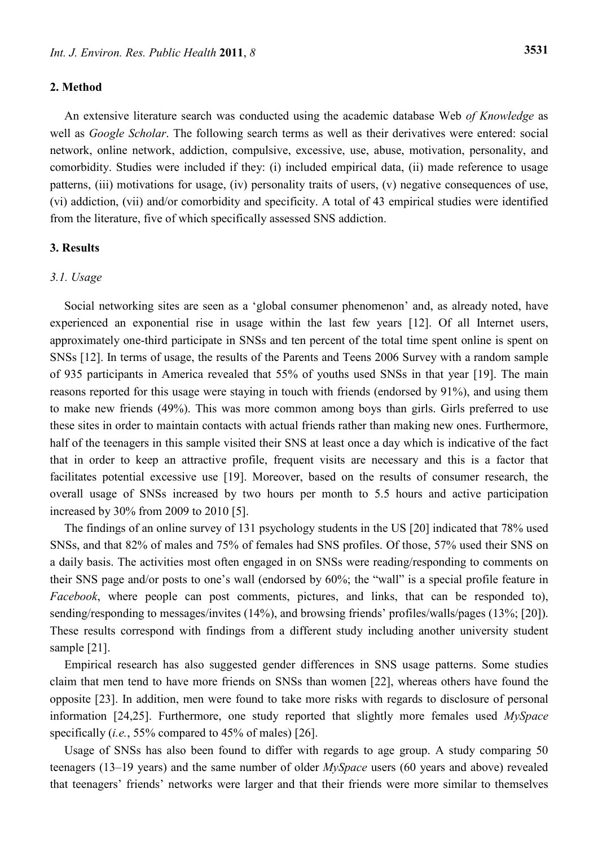## 2. Method

An extensive literature search was conducted using the academic database Web of Knowledge as well as *Google Scholar*. The following search terms as well as their derivatives were entered: social network, online network, addiction, compulsive, excessive, use, abuse, motivation, personality, and comorbidity. Studies were included if they: (i) included empirical data, (ii) made reference to usage patterns, (iii) motivations for usage, (iv) personality traits of users, (v) negative consequences of use, (vi) addiction, (vii) and/or comorbidity and specificity. A total of 43 empirical studies were identified from the literature, five of which specifically assessed SNS addiction.

## 3. Results

#### 3.1. Usage

Social networking sites are seen as a 'global consumer phenomenon' and, as already noted, have experienced an exponential rise in usage within the last few years [12]. Of all Internet users, approximately one-third participate in SNSs and ten percent of the total time spent online is spent on SNSs [12]. In terms of usage, the results of the Parents and Teens 2006 Survey with a random sample of 935 participants in America revealed that 55% of youths used SNSs in that year [19]. The main reasons reported for this usage were staying in touch with friends (endorsed by 91%), and using them to make new friends (49%). This was more common among boys than girls. Girls preferred to use these sites in order to maintain contacts with actual friends rather than making new ones. Furthermore, half of the teenagers in this sample visited their SNS at least once a day which is indicative of the fact that in order to keep an attractive profile, frequent visits are necessary and this is a factor that facilitates potential excessive use [19]. Moreover, based on the results of consumer research, the overall usage of SNSs increased by two hours per month to 5.5 hours and active participation increased by 30% from 2009 to 2010 [5].

The findings of an online survey of 131 psychology students in the US [20] indicated that 78% used SNSs, and that 82% of males and 75% of females had SNS profiles. Of those, 57% used their SNS on a daily basis. The activities most often engaged in on SNSs were reading/responding to comments on their SNS page and/or posts to one's wall (endorsed by 60%; the "wall" is a special profile feature in Facebook, where people can post comments, pictures, and links, that can be responded to), sending/responding to messages/invites (14%), and browsing friends' profiles/walls/pages (13%; [20]). These results correspond with findings from a different study including another university student sample [21].

Empirical research has also suggested gender differences in SNS usage patterns. Some studies claim that men tend to have more friends on SNSs than women [22], whereas others have found the opposite [23]. In addition, men were found to take more risks with regards to disclosure of personal information [24,25]. Furthermore, one study reported that slightly more females used MySpace specifically (*i.e.*, 55% compared to 45% of males) [26].

Usage of SNSs has also been found to differ with regards to age group. A study comparing 50 teenagers (13–19 years) and the same number of older  $MvSpace$  users (60 years and above) revealed that teenagers' friends' networks were larger and that their friends were more similar to themselves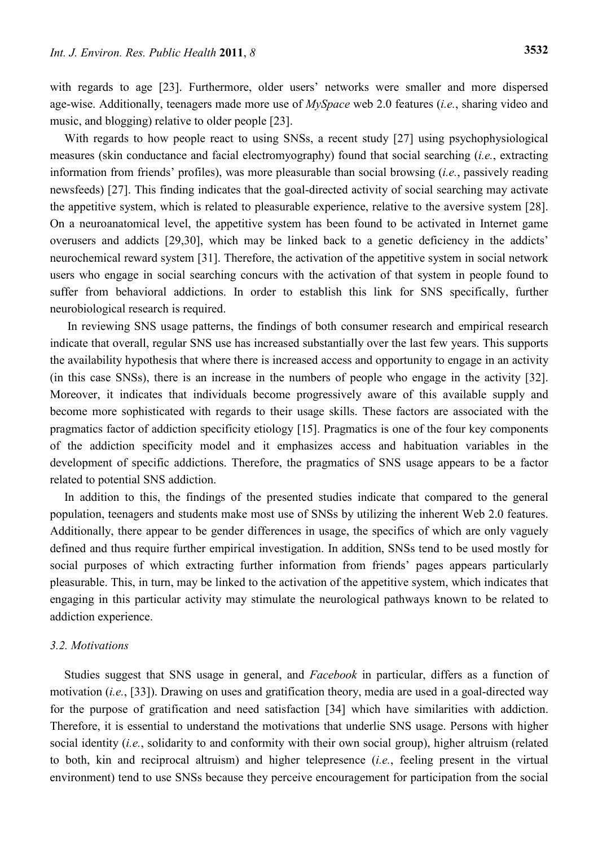with regards to age [23]. Furthermore, older users' networks were smaller and more dispersed age-wise. Additionally, teenagers made more use of *MySpace* web 2.0 features *(i.e.*, sharing video and music, and blogging) relative to older people [23].

With regards to how people react to using SNSs, a recent study [27] using psychophysiological measures (skin conductance and facial electromyography) found that social searching (i.e., extracting information from friends' profiles), was more pleasurable than social browsing (i.e., passively reading newsfeeds) [27]. This finding indicates that the goal-directed activity of social searching may activate the appetitive system, which is related to pleasurable experience, relative to the aversive system [28]. On a neuroanatomical level, the appetitive system has been found to be activated in Internet game overusers and addicts [29,30], which may be linked back to a genetic deficiency in the addicts' neurochemical reward system [31]. Therefore, the activation of the appetitive system in social network users who engage in social searching concurs with the activation of that system in people found to suffer from behavioral addictions. In order to establish this link for SNS specifically, further neurobiological research is required.

 In reviewing SNS usage patterns, the findings of both consumer research and empirical research indicate that overall, regular SNS use has increased substantially over the last few years. This supports the availability hypothesis that where there is increased access and opportunity to engage in an activity (in this case SNSs), there is an increase in the numbers of people who engage in the activity [32]. Moreover, it indicates that individuals become progressively aware of this available supply and become more sophisticated with regards to their usage skills. These factors are associated with the pragmatics factor of addiction specificity etiology [15]. Pragmatics is one of the four key components of the addiction specificity model and it emphasizes access and habituation variables in the development of specific addictions. Therefore, the pragmatics of SNS usage appears to be a factor related to potential SNS addiction.

In addition to this, the findings of the presented studies indicate that compared to the general population, teenagers and students make most use of SNSs by utilizing the inherent Web 2.0 features. Additionally, there appear to be gender differences in usage, the specifics of which are only vaguely defined and thus require further empirical investigation. In addition, SNSs tend to be used mostly for social purposes of which extracting further information from friends' pages appears particularly pleasurable. This, in turn, may be linked to the activation of the appetitive system, which indicates that engaging in this particular activity may stimulate the neurological pathways known to be related to addiction experience.

## 3.2. Motivations

Studies suggest that SNS usage in general, and Facebook in particular, differs as a function of motivation (i.e., [33]). Drawing on uses and gratification theory, media are used in a goal-directed way for the purpose of gratification and need satisfaction [34] which have similarities with addiction. Therefore, it is essential to understand the motivations that underlie SNS usage. Persons with higher social identity (*i.e.*, solidarity to and conformity with their own social group), higher altruism (related to both, kin and reciprocal altruism) and higher telepresence (i.e., feeling present in the virtual environment) tend to use SNSs because they perceive encouragement for participation from the social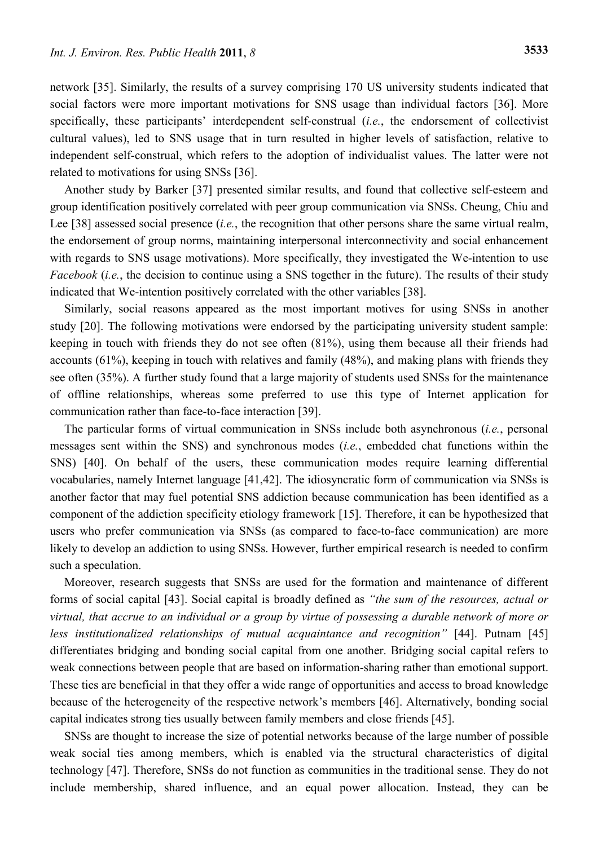related to motivations for using SNSs [36].

network [35]. Similarly, the results of a survey comprising 170 US university students indicated that social factors were more important motivations for SNS usage than individual factors [36]. More specifically, these participants' interdependent self-construal (*i.e.*, the endorsement of collectivist cultural values), led to SNS usage that in turn resulted in higher levels of satisfaction, relative to independent self-construal, which refers to the adoption of individualist values. The latter were not

Another study by Barker [37] presented similar results, and found that collective self-esteem and group identification positively correlated with peer group communication via SNSs. Cheung, Chiu and Lee [38] assessed social presence *(i.e.*, the recognition that other persons share the same virtual realm, the endorsement of group norms, maintaining interpersonal interconnectivity and social enhancement with regards to SNS usage motivations). More specifically, they investigated the We-intention to use Facebook (i.e., the decision to continue using a SNS together in the future). The results of their study indicated that We-intention positively correlated with the other variables [38].

Similarly, social reasons appeared as the most important motives for using SNSs in another study [20]. The following motivations were endorsed by the participating university student sample: keeping in touch with friends they do not see often (81%), using them because all their friends had accounts (61%), keeping in touch with relatives and family (48%), and making plans with friends they see often (35%). A further study found that a large majority of students used SNSs for the maintenance of offline relationships, whereas some preferred to use this type of Internet application for communication rather than face-to-face interaction [39].

The particular forms of virtual communication in SNSs include both asynchronous (i.e., personal messages sent within the SNS) and synchronous modes (i.e., embedded chat functions within the SNS) [40]. On behalf of the users, these communication modes require learning differential vocabularies, namely Internet language [41,42]. The idiosyncratic form of communication via SNSs is another factor that may fuel potential SNS addiction because communication has been identified as a component of the addiction specificity etiology framework [15]. Therefore, it can be hypothesized that users who prefer communication via SNSs (as compared to face-to-face communication) are more likely to develop an addiction to using SNSs. However, further empirical research is needed to confirm such a speculation.

Moreover, research suggests that SNSs are used for the formation and maintenance of different forms of social capital [43]. Social capital is broadly defined as "the sum of the resources, actual or virtual, that accrue to an individual or a group by virtue of possessing a durable network of more or less institutionalized relationships of mutual acquaintance and recognition" [44]. Putnam [45] differentiates bridging and bonding social capital from one another. Bridging social capital refers to weak connections between people that are based on information-sharing rather than emotional support. These ties are beneficial in that they offer a wide range of opportunities and access to broad knowledge because of the heterogeneity of the respective network's members [46]. Alternatively, bonding social capital indicates strong ties usually between family members and close friends [45].

SNSs are thought to increase the size of potential networks because of the large number of possible weak social ties among members, which is enabled via the structural characteristics of digital technology [47]. Therefore, SNSs do not function as communities in the traditional sense. They do not include membership, shared influence, and an equal power allocation. Instead, they can be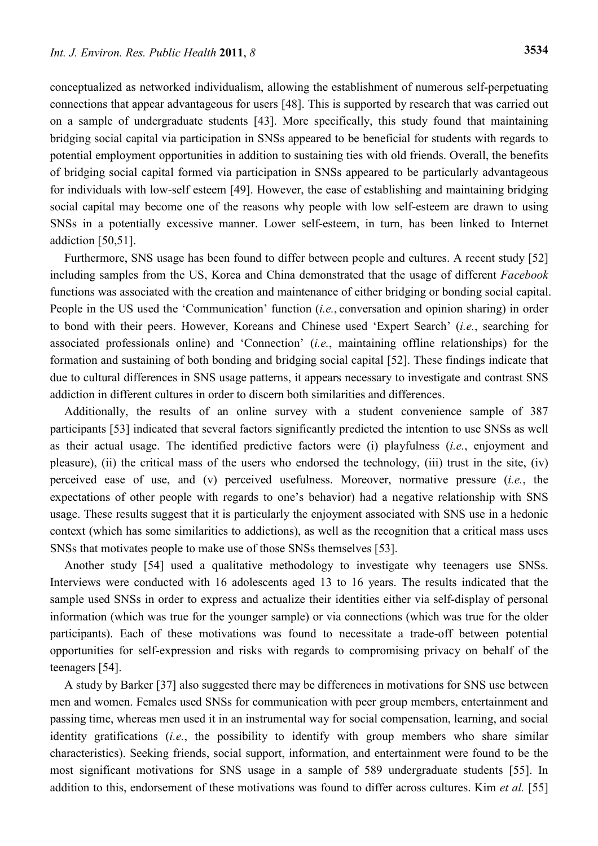conceptualized as networked individualism, allowing the establishment of numerous self-perpetuating connections that appear advantageous for users [48]. This is supported by research that was carried out on a sample of undergraduate students [43]. More specifically, this study found that maintaining bridging social capital via participation in SNSs appeared to be beneficial for students with regards to potential employment opportunities in addition to sustaining ties with old friends. Overall, the benefits of bridging social capital formed via participation in SNSs appeared to be particularly advantageous for individuals with low-self esteem [49]. However, the ease of establishing and maintaining bridging social capital may become one of the reasons why people with low self-esteem are drawn to using SNSs in a potentially excessive manner. Lower self-esteem, in turn, has been linked to Internet addiction [50,51].

Furthermore, SNS usage has been found to differ between people and cultures. A recent study [52] including samples from the US, Korea and China demonstrated that the usage of different Facebook functions was associated with the creation and maintenance of either bridging or bonding social capital. People in the US used the 'Communication' function (*i.e.*, conversation and opinion sharing) in order to bond with their peers. However, Koreans and Chinese used 'Expert Search' (i.e., searching for associated professionals online) and 'Connection' (i.e., maintaining offline relationships) for the formation and sustaining of both bonding and bridging social capital [52]. These findings indicate that due to cultural differences in SNS usage patterns, it appears necessary to investigate and contrast SNS addiction in different cultures in order to discern both similarities and differences.

Additionally, the results of an online survey with a student convenience sample of 387 participants [53] indicated that several factors significantly predicted the intention to use SNSs as well as their actual usage. The identified predictive factors were (i) playfulness (i.e., enjoyment and pleasure), (ii) the critical mass of the users who endorsed the technology, (iii) trust in the site, (iv) perceived ease of use, and (v) perceived usefulness. Moreover, normative pressure (i.e., the expectations of other people with regards to one's behavior) had a negative relationship with SNS usage. These results suggest that it is particularly the enjoyment associated with SNS use in a hedonic context (which has some similarities to addictions), as well as the recognition that a critical mass uses SNSs that motivates people to make use of those SNSs themselves [53].

Another study [54] used a qualitative methodology to investigate why teenagers use SNSs. Interviews were conducted with 16 adolescents aged 13 to 16 years. The results indicated that the sample used SNSs in order to express and actualize their identities either via self-display of personal information (which was true for the younger sample) or via connections (which was true for the older participants). Each of these motivations was found to necessitate a trade-off between potential opportunities for self-expression and risks with regards to compromising privacy on behalf of the teenagers [54].

A study by Barker [37] also suggested there may be differences in motivations for SNS use between men and women. Females used SNSs for communication with peer group members, entertainment and passing time, whereas men used it in an instrumental way for social compensation, learning, and social identity gratifications *(i.e.*, the possibility to identify with group members who share similar characteristics). Seeking friends, social support, information, and entertainment were found to be the most significant motivations for SNS usage in a sample of 589 undergraduate students [55]. In addition to this, endorsement of these motivations was found to differ across cultures. Kim et al. [55]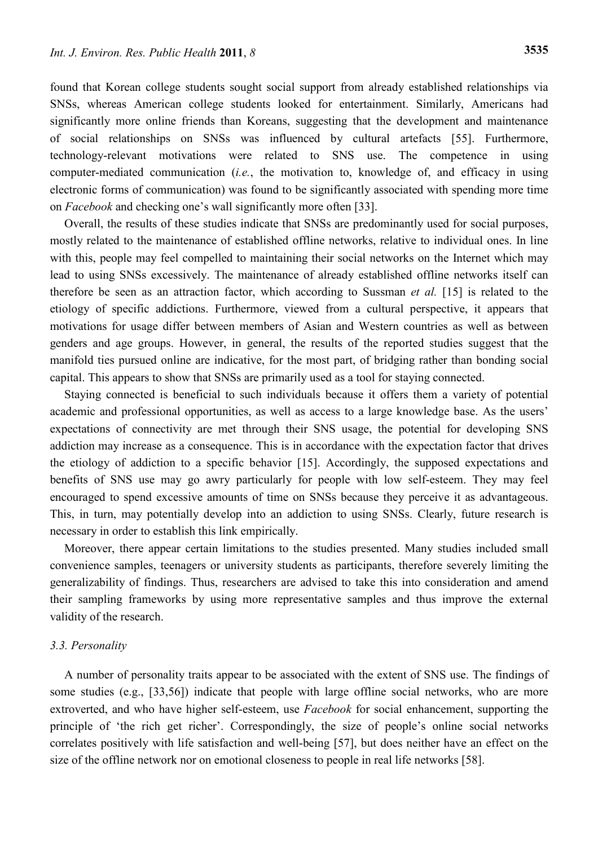found that Korean college students sought social support from already established relationships via SNSs, whereas American college students looked for entertainment. Similarly, Americans had significantly more online friends than Koreans, suggesting that the development and maintenance of social relationships on SNSs was influenced by cultural artefacts [55]. Furthermore, technology-relevant motivations were related to SNS use. The competence in using computer-mediated communication *(i.e.*, the motivation to, knowledge of, and efficacy in using electronic forms of communication) was found to be significantly associated with spending more time on Facebook and checking one's wall significantly more often [33].

Overall, the results of these studies indicate that SNSs are predominantly used for social purposes, mostly related to the maintenance of established offline networks, relative to individual ones. In line with this, people may feel compelled to maintaining their social networks on the Internet which may lead to using SNSs excessively. The maintenance of already established offline networks itself can therefore be seen as an attraction factor, which according to Sussman et al. [15] is related to the etiology of specific addictions. Furthermore, viewed from a cultural perspective, it appears that motivations for usage differ between members of Asian and Western countries as well as between genders and age groups. However, in general, the results of the reported studies suggest that the manifold ties pursued online are indicative, for the most part, of bridging rather than bonding social capital. This appears to show that SNSs are primarily used as a tool for staying connected.

Staying connected is beneficial to such individuals because it offers them a variety of potential academic and professional opportunities, as well as access to a large knowledge base. As the users' expectations of connectivity are met through their SNS usage, the potential for developing SNS addiction may increase as a consequence. This is in accordance with the expectation factor that drives the etiology of addiction to a specific behavior [15]. Accordingly, the supposed expectations and benefits of SNS use may go awry particularly for people with low self-esteem. They may feel encouraged to spend excessive amounts of time on SNSs because they perceive it as advantageous. This, in turn, may potentially develop into an addiction to using SNSs. Clearly, future research is necessary in order to establish this link empirically.

Moreover, there appear certain limitations to the studies presented. Many studies included small convenience samples, teenagers or university students as participants, therefore severely limiting the generalizability of findings. Thus, researchers are advised to take this into consideration and amend their sampling frameworks by using more representative samples and thus improve the external validity of the research.

## 3.3. Personality

A number of personality traits appear to be associated with the extent of SNS use. The findings of some studies (e.g., [33,56]) indicate that people with large offline social networks, who are more extroverted, and who have higher self-esteem, use Facebook for social enhancement, supporting the principle of 'the rich get richer'. Correspondingly, the size of people's online social networks correlates positively with life satisfaction and well-being [57], but does neither have an effect on the size of the offline network nor on emotional closeness to people in real life networks [58].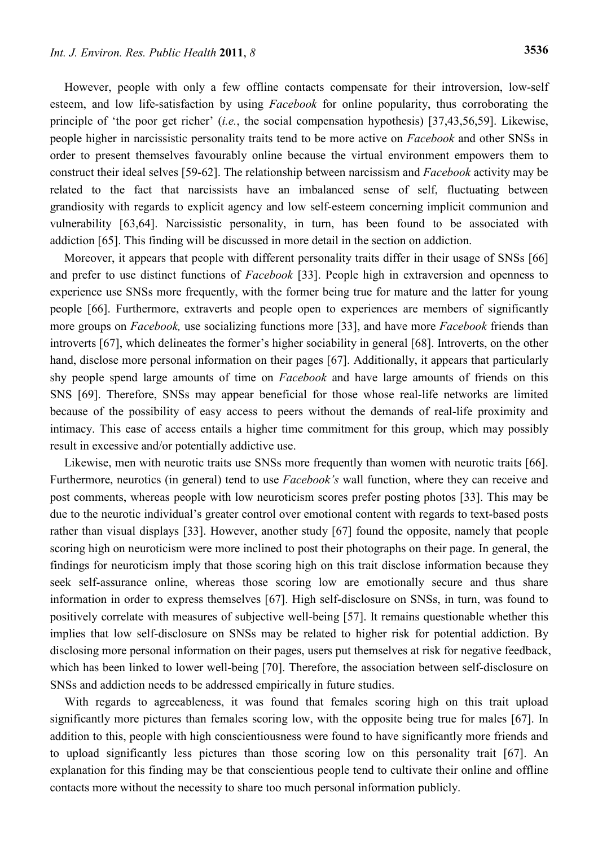However, people with only a few offline contacts compensate for their introversion, low-self esteem, and low life-satisfaction by using *Facebook* for online popularity, thus corroborating the principle of 'the poor get richer' (i.e., the social compensation hypothesis) [37,43,56,59]. Likewise, people higher in narcissistic personality traits tend to be more active on Facebook and other SNSs in order to present themselves favourably online because the virtual environment empowers them to construct their ideal selves [59-62]. The relationship between narcissism and Facebook activity may be related to the fact that narcissists have an imbalanced sense of self, fluctuating between grandiosity with regards to explicit agency and low self-esteem concerning implicit communion and vulnerability [63,64]. Narcissistic personality, in turn, has been found to be associated with addiction [65]. This finding will be discussed in more detail in the section on addiction.

Moreover, it appears that people with different personality traits differ in their usage of SNSs [66] and prefer to use distinct functions of Facebook [33]. People high in extraversion and openness to experience use SNSs more frequently, with the former being true for mature and the latter for young people [66]. Furthermore, extraverts and people open to experiences are members of significantly more groups on *Facebook*, use socializing functions more [33], and have more *Facebook* friends than introverts [67], which delineates the former's higher sociability in general [68]. Introverts, on the other hand, disclose more personal information on their pages [67]. Additionally, it appears that particularly shy people spend large amounts of time on Facebook and have large amounts of friends on this SNS [69]. Therefore, SNSs may appear beneficial for those whose real-life networks are limited because of the possibility of easy access to peers without the demands of real-life proximity and intimacy. This ease of access entails a higher time commitment for this group, which may possibly result in excessive and/or potentially addictive use.

Likewise, men with neurotic traits use SNSs more frequently than women with neurotic traits [66]. Furthermore, neurotics (in general) tend to use *Facebook's* wall function, where they can receive and post comments, whereas people with low neuroticism scores prefer posting photos [33]. This may be due to the neurotic individual's greater control over emotional content with regards to text-based posts rather than visual displays [33]. However, another study [67] found the opposite, namely that people scoring high on neuroticism were more inclined to post their photographs on their page. In general, the findings for neuroticism imply that those scoring high on this trait disclose information because they seek self-assurance online, whereas those scoring low are emotionally secure and thus share information in order to express themselves [67]. High self-disclosure on SNSs, in turn, was found to positively correlate with measures of subjective well-being [57]. It remains questionable whether this implies that low self-disclosure on SNSs may be related to higher risk for potential addiction. By disclosing more personal information on their pages, users put themselves at risk for negative feedback, which has been linked to lower well-being [70]. Therefore, the association between self-disclosure on SNSs and addiction needs to be addressed empirically in future studies.

With regards to agreeableness, it was found that females scoring high on this trait upload significantly more pictures than females scoring low, with the opposite being true for males [67]. In addition to this, people with high conscientiousness were found to have significantly more friends and to upload significantly less pictures than those scoring low on this personality trait [67]. An explanation for this finding may be that conscientious people tend to cultivate their online and offline contacts more without the necessity to share too much personal information publicly.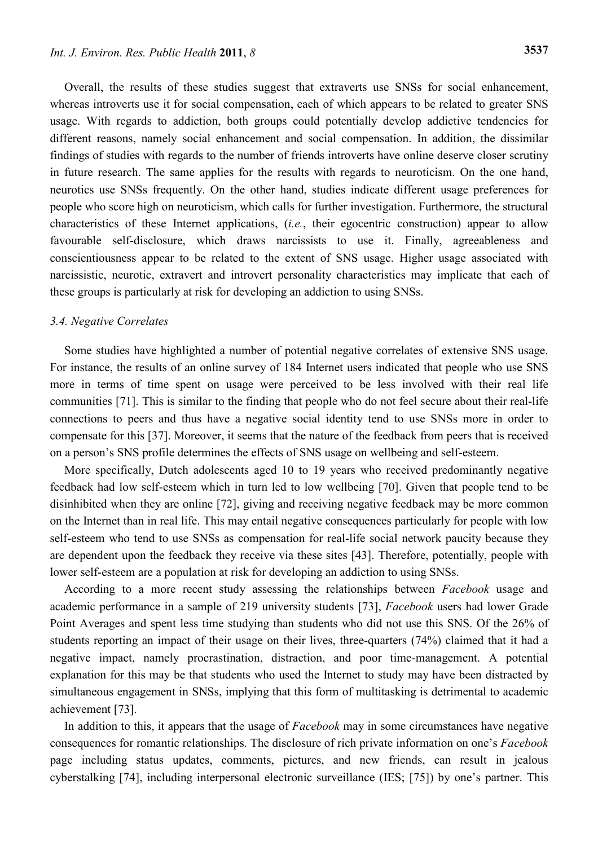Overall, the results of these studies suggest that extraverts use SNSs for social enhancement, whereas introverts use it for social compensation, each of which appears to be related to greater SNS usage. With regards to addiction, both groups could potentially develop addictive tendencies for different reasons, namely social enhancement and social compensation. In addition, the dissimilar findings of studies with regards to the number of friends introverts have online deserve closer scrutiny in future research. The same applies for the results with regards to neuroticism. On the one hand, neurotics use SNSs frequently. On the other hand, studies indicate different usage preferences for people who score high on neuroticism, which calls for further investigation. Furthermore, the structural characteristics of these Internet applications, (i.e., their egocentric construction) appear to allow favourable self-disclosure, which draws narcissists to use it. Finally, agreeableness and conscientiousness appear to be related to the extent of SNS usage. Higher usage associated with narcissistic, neurotic, extravert and introvert personality characteristics may implicate that each of these groups is particularly at risk for developing an addiction to using SNSs.

#### 3.4. Negative Correlates

Some studies have highlighted a number of potential negative correlates of extensive SNS usage. For instance, the results of an online survey of 184 Internet users indicated that people who use SNS more in terms of time spent on usage were perceived to be less involved with their real life communities [71]. This is similar to the finding that people who do not feel secure about their real-life connections to peers and thus have a negative social identity tend to use SNSs more in order to compensate for this [37]. Moreover, it seems that the nature of the feedback from peers that is received on a person's SNS profile determines the effects of SNS usage on wellbeing and self-esteem.

More specifically, Dutch adolescents aged 10 to 19 years who received predominantly negative feedback had low self-esteem which in turn led to low wellbeing [70]. Given that people tend to be disinhibited when they are online [72], giving and receiving negative feedback may be more common on the Internet than in real life. This may entail negative consequences particularly for people with low self-esteem who tend to use SNSs as compensation for real-life social network paucity because they are dependent upon the feedback they receive via these sites [43]. Therefore, potentially, people with lower self-esteem are a population at risk for developing an addiction to using SNSs.

According to a more recent study assessing the relationships between Facebook usage and academic performance in a sample of 219 university students [73], Facebook users had lower Grade Point Averages and spent less time studying than students who did not use this SNS. Of the 26% of students reporting an impact of their usage on their lives, three-quarters (74%) claimed that it had a negative impact, namely procrastination, distraction, and poor time-management. A potential explanation for this may be that students who used the Internet to study may have been distracted by simultaneous engagement in SNSs, implying that this form of multitasking is detrimental to academic achievement [73].

In addition to this, it appears that the usage of Facebook may in some circumstances have negative consequences for romantic relationships. The disclosure of rich private information on one's Facebook page including status updates, comments, pictures, and new friends, can result in jealous cyberstalking [74], including interpersonal electronic surveillance (IES; [75]) by one's partner. This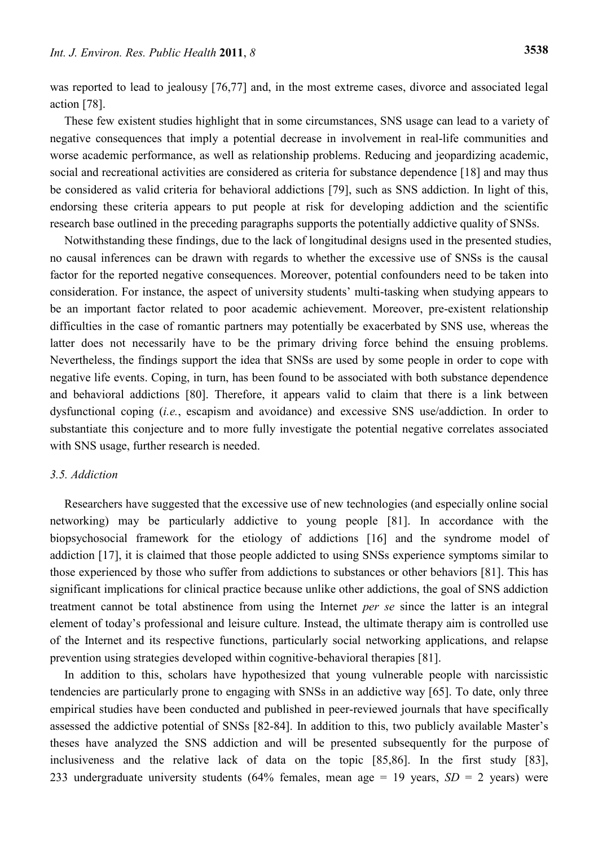was reported to lead to jealousy [76,77] and, in the most extreme cases, divorce and associated legal action [78].

These few existent studies highlight that in some circumstances, SNS usage can lead to a variety of negative consequences that imply a potential decrease in involvement in real-life communities and worse academic performance, as well as relationship problems. Reducing and jeopardizing academic, social and recreational activities are considered as criteria for substance dependence [18] and may thus be considered as valid criteria for behavioral addictions [79], such as SNS addiction. In light of this, endorsing these criteria appears to put people at risk for developing addiction and the scientific research base outlined in the preceding paragraphs supports the potentially addictive quality of SNSs.

Notwithstanding these findings, due to the lack of longitudinal designs used in the presented studies, no causal inferences can be drawn with regards to whether the excessive use of SNSs is the causal factor for the reported negative consequences. Moreover, potential confounders need to be taken into consideration. For instance, the aspect of university students' multi-tasking when studying appears to be an important factor related to poor academic achievement. Moreover, pre-existent relationship difficulties in the case of romantic partners may potentially be exacerbated by SNS use, whereas the latter does not necessarily have to be the primary driving force behind the ensuing problems. Nevertheless, the findings support the idea that SNSs are used by some people in order to cope with negative life events. Coping, in turn, has been found to be associated with both substance dependence and behavioral addictions [80]. Therefore, it appears valid to claim that there is a link between dysfunctional coping (i.e., escapism and avoidance) and excessive SNS use/addiction. In order to substantiate this conjecture and to more fully investigate the potential negative correlates associated with SNS usage, further research is needed.

## 3.5. Addiction

Researchers have suggested that the excessive use of new technologies (and especially online social networking) may be particularly addictive to young people [81]. In accordance with the biopsychosocial framework for the etiology of addictions [16] and the syndrome model of addiction [17], it is claimed that those people addicted to using SNSs experience symptoms similar to those experienced by those who suffer from addictions to substances or other behaviors [81]. This has significant implications for clinical practice because unlike other addictions, the goal of SNS addiction treatment cannot be total abstinence from using the Internet per se since the latter is an integral element of today's professional and leisure culture. Instead, the ultimate therapy aim is controlled use of the Internet and its respective functions, particularly social networking applications, and relapse prevention using strategies developed within cognitive-behavioral therapies [81].

In addition to this, scholars have hypothesized that young vulnerable people with narcissistic tendencies are particularly prone to engaging with SNSs in an addictive way [65]. To date, only three empirical studies have been conducted and published in peer-reviewed journals that have specifically assessed the addictive potential of SNSs [82-84]. In addition to this, two publicly available Master's theses have analyzed the SNS addiction and will be presented subsequently for the purpose of inclusiveness and the relative lack of data on the topic [85,86]. In the first study [83], 233 undergraduate university students (64% females, mean age = 19 years,  $SD = 2$  years) were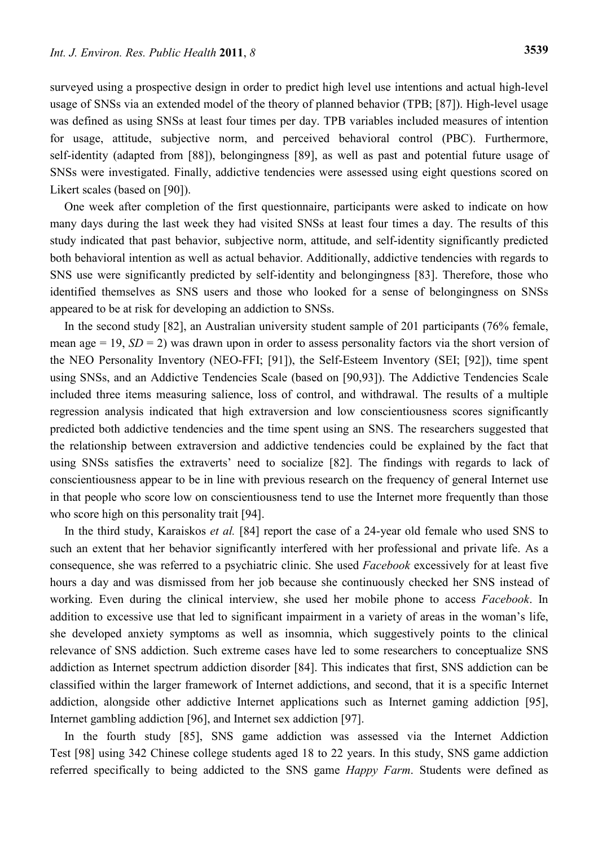surveyed using a prospective design in order to predict high level use intentions and actual high-level usage of SNSs via an extended model of the theory of planned behavior (TPB; [87]). High-level usage was defined as using SNSs at least four times per day. TPB variables included measures of intention for usage, attitude, subjective norm, and perceived behavioral control (PBC). Furthermore, self-identity (adapted from [88]), belongingness [89], as well as past and potential future usage of SNSs were investigated. Finally, addictive tendencies were assessed using eight questions scored on Likert scales (based on [90]).

One week after completion of the first questionnaire, participants were asked to indicate on how many days during the last week they had visited SNSs at least four times a day. The results of this study indicated that past behavior, subjective norm, attitude, and self-identity significantly predicted both behavioral intention as well as actual behavior. Additionally, addictive tendencies with regards to SNS use were significantly predicted by self-identity and belongingness [83]. Therefore, those who identified themselves as SNS users and those who looked for a sense of belongingness on SNSs appeared to be at risk for developing an addiction to SNSs.

In the second study [82], an Australian university student sample of 201 participants (76% female, mean age = 19,  $SD = 2$ ) was drawn upon in order to assess personality factors via the short version of the NEO Personality Inventory (NEO-FFI; [91]), the Self-Esteem Inventory (SEI; [92]), time spent using SNSs, and an Addictive Tendencies Scale (based on [90,93]). The Addictive Tendencies Scale included three items measuring salience, loss of control, and withdrawal. The results of a multiple regression analysis indicated that high extraversion and low conscientiousness scores significantly predicted both addictive tendencies and the time spent using an SNS. The researchers suggested that the relationship between extraversion and addictive tendencies could be explained by the fact that using SNSs satisfies the extraverts' need to socialize [82]. The findings with regards to lack of conscientiousness appear to be in line with previous research on the frequency of general Internet use in that people who score low on conscientiousness tend to use the Internet more frequently than those who score high on this personality trait [94].

In the third study, Karaiskos *et al.* [84] report the case of a 24-year old female who used SNS to such an extent that her behavior significantly interfered with her professional and private life. As a consequence, she was referred to a psychiatric clinic. She used Facebook excessively for at least five hours a day and was dismissed from her job because she continuously checked her SNS instead of working. Even during the clinical interview, she used her mobile phone to access *Facebook*. In addition to excessive use that led to significant impairment in a variety of areas in the woman's life, she developed anxiety symptoms as well as insomnia, which suggestively points to the clinical relevance of SNS addiction. Such extreme cases have led to some researchers to conceptualize SNS addiction as Internet spectrum addiction disorder [84]. This indicates that first, SNS addiction can be classified within the larger framework of Internet addictions, and second, that it is a specific Internet addiction, alongside other addictive Internet applications such as Internet gaming addiction [95], Internet gambling addiction [96], and Internet sex addiction [97].

In the fourth study [85], SNS game addiction was assessed via the Internet Addiction Test [98] using 342 Chinese college students aged 18 to 22 years. In this study, SNS game addiction referred specifically to being addicted to the SNS game *Happy Farm*. Students were defined as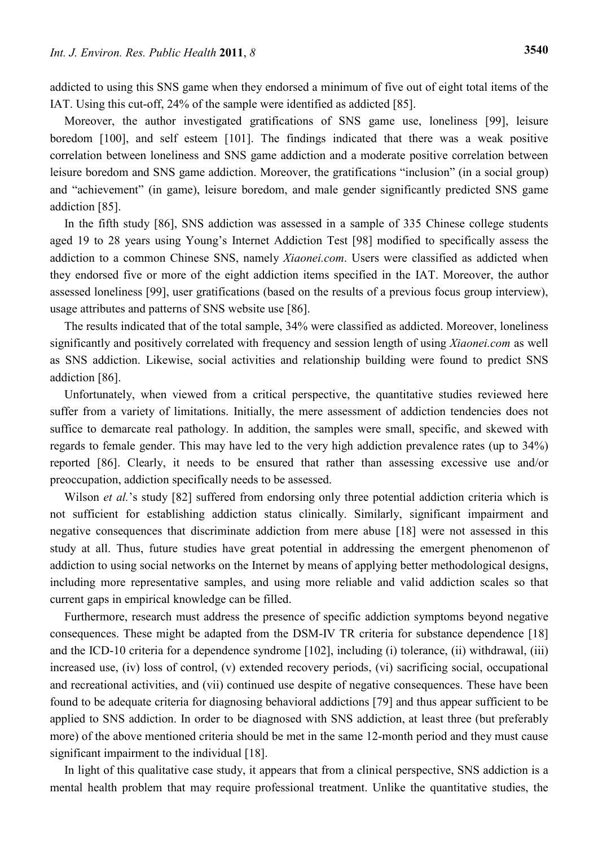addicted to using this SNS game when they endorsed a minimum of five out of eight total items of the IAT. Using this cut-off, 24% of the sample were identified as addicted [85].

Moreover, the author investigated gratifications of SNS game use, loneliness [99], leisure boredom [100], and self esteem [101]. The findings indicated that there was a weak positive correlation between loneliness and SNS game addiction and a moderate positive correlation between leisure boredom and SNS game addiction. Moreover, the gratifications "inclusion" (in a social group) and "achievement" (in game), leisure boredom, and male gender significantly predicted SNS game addiction [85].

In the fifth study [86], SNS addiction was assessed in a sample of 335 Chinese college students aged 19 to 28 years using Young's Internet Addiction Test [98] modified to specifically assess the addiction to a common Chinese SNS, namely *Xiaonei.com*. Users were classified as addicted when they endorsed five or more of the eight addiction items specified in the IAT. Moreover, the author assessed loneliness [99], user gratifications (based on the results of a previous focus group interview), usage attributes and patterns of SNS website use [86].

The results indicated that of the total sample, 34% were classified as addicted. Moreover, loneliness significantly and positively correlated with frequency and session length of using *Xiaonei.com* as well as SNS addiction. Likewise, social activities and relationship building were found to predict SNS addiction [86].

Unfortunately, when viewed from a critical perspective, the quantitative studies reviewed here suffer from a variety of limitations. Initially, the mere assessment of addiction tendencies does not suffice to demarcate real pathology. In addition, the samples were small, specific, and skewed with regards to female gender. This may have led to the very high addiction prevalence rates (up to 34%) reported [86]. Clearly, it needs to be ensured that rather than assessing excessive use and/or preoccupation, addiction specifically needs to be assessed.

Wilson *et al.*'s study [82] suffered from endorsing only three potential addiction criteria which is not sufficient for establishing addiction status clinically. Similarly, significant impairment and negative consequences that discriminate addiction from mere abuse [18] were not assessed in this study at all. Thus, future studies have great potential in addressing the emergent phenomenon of addiction to using social networks on the Internet by means of applying better methodological designs, including more representative samples, and using more reliable and valid addiction scales so that current gaps in empirical knowledge can be filled.

Furthermore, research must address the presence of specific addiction symptoms beyond negative consequences. These might be adapted from the DSM-IV TR criteria for substance dependence [18] and the ICD-10 criteria for a dependence syndrome [102], including (i) tolerance, (ii) withdrawal, (iii) increased use, (iv) loss of control, (v) extended recovery periods, (vi) sacrificing social, occupational and recreational activities, and (vii) continued use despite of negative consequences. These have been found to be adequate criteria for diagnosing behavioral addictions [79] and thus appear sufficient to be applied to SNS addiction. In order to be diagnosed with SNS addiction, at least three (but preferably more) of the above mentioned criteria should be met in the same 12-month period and they must cause significant impairment to the individual [18].

In light of this qualitative case study, it appears that from a clinical perspective, SNS addiction is a mental health problem that may require professional treatment. Unlike the quantitative studies, the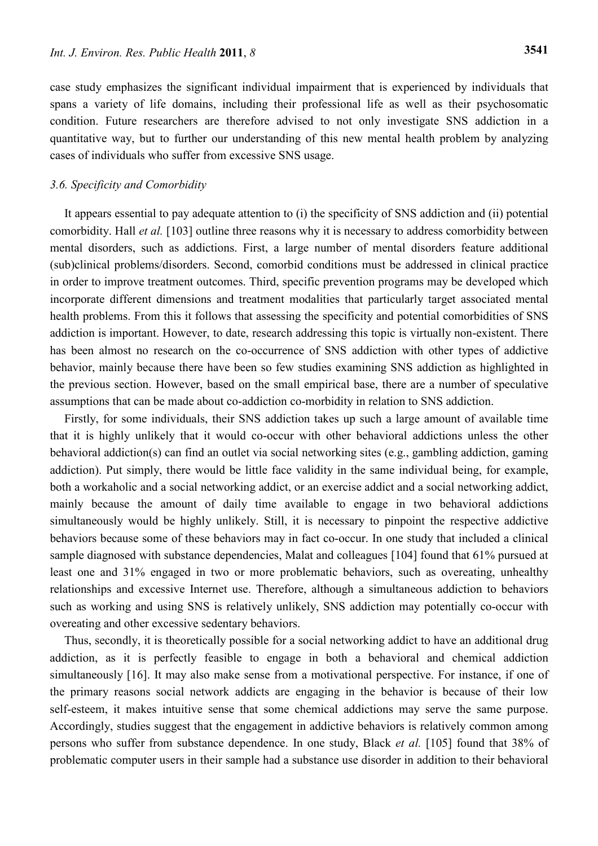case study emphasizes the significant individual impairment that is experienced by individuals that spans a variety of life domains, including their professional life as well as their psychosomatic condition. Future researchers are therefore advised to not only investigate SNS addiction in a quantitative way, but to further our understanding of this new mental health problem by analyzing cases of individuals who suffer from excessive SNS usage.

#### 3.6. Specificity and Comorbidity

It appears essential to pay adequate attention to (i) the specificity of SNS addiction and (ii) potential comorbidity. Hall et al. [103] outline three reasons why it is necessary to address comorbidity between mental disorders, such as addictions. First, a large number of mental disorders feature additional (sub)clinical problems/disorders. Second, comorbid conditions must be addressed in clinical practice in order to improve treatment outcomes. Third, specific prevention programs may be developed which incorporate different dimensions and treatment modalities that particularly target associated mental health problems. From this it follows that assessing the specificity and potential comorbidities of SNS addiction is important. However, to date, research addressing this topic is virtually non-existent. There has been almost no research on the co-occurrence of SNS addiction with other types of addictive behavior, mainly because there have been so few studies examining SNS addiction as highlighted in the previous section. However, based on the small empirical base, there are a number of speculative assumptions that can be made about co-addiction co-morbidity in relation to SNS addiction.

Firstly, for some individuals, their SNS addiction takes up such a large amount of available time that it is highly unlikely that it would co-occur with other behavioral addictions unless the other behavioral addiction(s) can find an outlet via social networking sites (e.g., gambling addiction, gaming addiction). Put simply, there would be little face validity in the same individual being, for example, both a workaholic and a social networking addict, or an exercise addict and a social networking addict, mainly because the amount of daily time available to engage in two behavioral addictions simultaneously would be highly unlikely. Still, it is necessary to pinpoint the respective addictive behaviors because some of these behaviors may in fact co-occur. In one study that included a clinical sample diagnosed with substance dependencies, Malat and colleagues [104] found that 61% pursued at least one and 31% engaged in two or more problematic behaviors, such as overeating, unhealthy relationships and excessive Internet use. Therefore, although a simultaneous addiction to behaviors such as working and using SNS is relatively unlikely, SNS addiction may potentially co-occur with overeating and other excessive sedentary behaviors.

Thus, secondly, it is theoretically possible for a social networking addict to have an additional drug addiction, as it is perfectly feasible to engage in both a behavioral and chemical addiction simultaneously [16]. It may also make sense from a motivational perspective. For instance, if one of the primary reasons social network addicts are engaging in the behavior is because of their low self-esteem, it makes intuitive sense that some chemical addictions may serve the same purpose. Accordingly, studies suggest that the engagement in addictive behaviors is relatively common among persons who suffer from substance dependence. In one study, Black et al. [105] found that 38% of problematic computer users in their sample had a substance use disorder in addition to their behavioral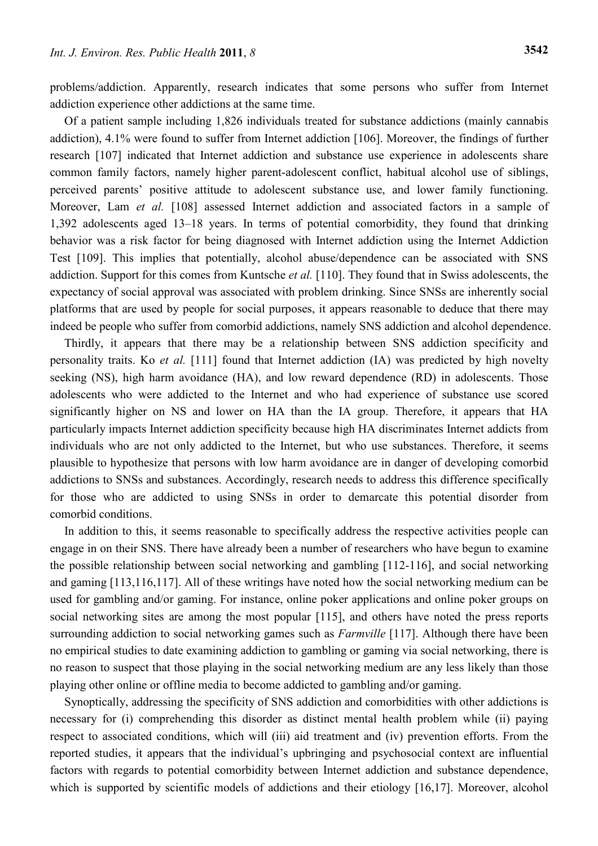problems/addiction. Apparently, research indicates that some persons who suffer from Internet addiction experience other addictions at the same time.

Of a patient sample including 1,826 individuals treated for substance addictions (mainly cannabis addiction), 4.1% were found to suffer from Internet addiction [106]. Moreover, the findings of further research [107] indicated that Internet addiction and substance use experience in adolescents share common family factors, namely higher parent-adolescent conflict, habitual alcohol use of siblings, perceived parents' positive attitude to adolescent substance use, and lower family functioning. Moreover, Lam et al. [108] assessed Internet addiction and associated factors in a sample of 1,392 adolescents aged 13–18 years. In terms of potential comorbidity, they found that drinking behavior was a risk factor for being diagnosed with Internet addiction using the Internet Addiction Test [109]. This implies that potentially, alcohol abuse/dependence can be associated with SNS addiction. Support for this comes from Kuntsche et al. [110]. They found that in Swiss adolescents, the expectancy of social approval was associated with problem drinking. Since SNSs are inherently social platforms that are used by people for social purposes, it appears reasonable to deduce that there may indeed be people who suffer from comorbid addictions, namely SNS addiction and alcohol dependence.

Thirdly, it appears that there may be a relationship between SNS addiction specificity and personality traits. Ko *et al.* [111] found that Internet addiction  $(IA)$  was predicted by high novelty seeking (NS), high harm avoidance (HA), and low reward dependence (RD) in adolescents. Those adolescents who were addicted to the Internet and who had experience of substance use scored significantly higher on NS and lower on HA than the IA group. Therefore, it appears that HA particularly impacts Internet addiction specificity because high HA discriminates Internet addicts from individuals who are not only addicted to the Internet, but who use substances. Therefore, it seems plausible to hypothesize that persons with low harm avoidance are in danger of developing comorbid addictions to SNSs and substances. Accordingly, research needs to address this difference specifically for those who are addicted to using SNSs in order to demarcate this potential disorder from comorbid conditions.

In addition to this, it seems reasonable to specifically address the respective activities people can engage in on their SNS. There have already been a number of researchers who have begun to examine the possible relationship between social networking and gambling [112-116], and social networking and gaming [113,116,117]. All of these writings have noted how the social networking medium can be used for gambling and/or gaming. For instance, online poker applications and online poker groups on social networking sites are among the most popular [115], and others have noted the press reports surrounding addiction to social networking games such as *Farmville* [117]. Although there have been no empirical studies to date examining addiction to gambling or gaming via social networking, there is no reason to suspect that those playing in the social networking medium are any less likely than those playing other online or offline media to become addicted to gambling and/or gaming.

Synoptically, addressing the specificity of SNS addiction and comorbidities with other addictions is necessary for (i) comprehending this disorder as distinct mental health problem while (ii) paying respect to associated conditions, which will (iii) aid treatment and (iv) prevention efforts. From the reported studies, it appears that the individual's upbringing and psychosocial context are influential factors with regards to potential comorbidity between Internet addiction and substance dependence, which is supported by scientific models of addictions and their etiology [16,17]. Moreover, alcohol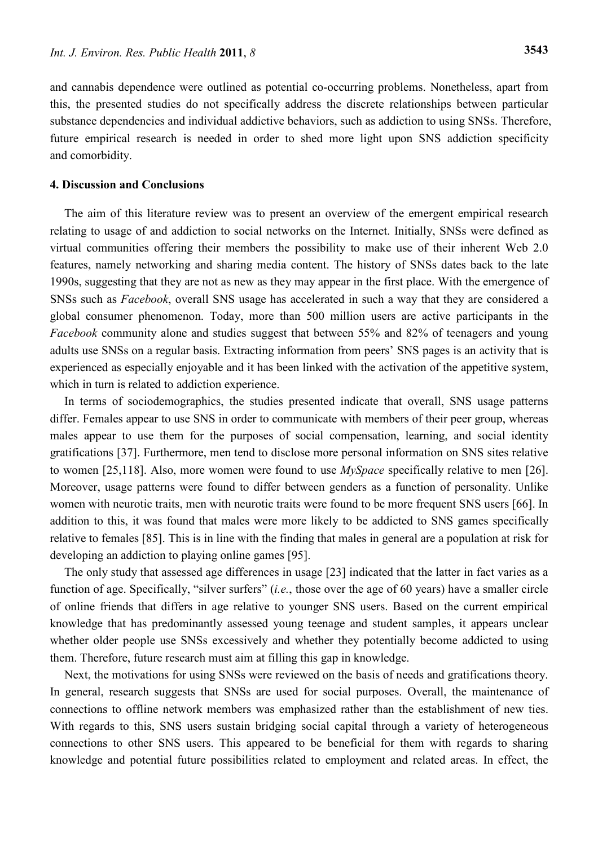and cannabis dependence were outlined as potential co-occurring problems. Nonetheless, apart from this, the presented studies do not specifically address the discrete relationships between particular substance dependencies and individual addictive behaviors, such as addiction to using SNSs. Therefore, future empirical research is needed in order to shed more light upon SNS addiction specificity and comorbidity.

## 4. Discussion and Conclusions

The aim of this literature review was to present an overview of the emergent empirical research relating to usage of and addiction to social networks on the Internet. Initially, SNSs were defined as virtual communities offering their members the possibility to make use of their inherent Web 2.0 features, namely networking and sharing media content. The history of SNSs dates back to the late 1990s, suggesting that they are not as new as they may appear in the first place. With the emergence of SNSs such as Facebook, overall SNS usage has accelerated in such a way that they are considered a global consumer phenomenon. Today, more than 500 million users are active participants in the Facebook community alone and studies suggest that between 55% and 82% of teenagers and young adults use SNSs on a regular basis. Extracting information from peers' SNS pages is an activity that is experienced as especially enjoyable and it has been linked with the activation of the appetitive system, which in turn is related to addiction experience.

In terms of sociodemographics, the studies presented indicate that overall, SNS usage patterns differ. Females appear to use SNS in order to communicate with members of their peer group, whereas males appear to use them for the purposes of social compensation, learning, and social identity gratifications [37]. Furthermore, men tend to disclose more personal information on SNS sites relative to women [25,118]. Also, more women were found to use *MySpace* specifically relative to men [26]. Moreover, usage patterns were found to differ between genders as a function of personality. Unlike women with neurotic traits, men with neurotic traits were found to be more frequent SNS users [66]. In addition to this, it was found that males were more likely to be addicted to SNS games specifically relative to females [85]. This is in line with the finding that males in general are a population at risk for developing an addiction to playing online games [95].

The only study that assessed age differences in usage [23] indicated that the latter in fact varies as a function of age. Specifically, "silver surfers" (i.e., those over the age of 60 years) have a smaller circle of online friends that differs in age relative to younger SNS users. Based on the current empirical knowledge that has predominantly assessed young teenage and student samples, it appears unclear whether older people use SNSs excessively and whether they potentially become addicted to using them. Therefore, future research must aim at filling this gap in knowledge.

Next, the motivations for using SNSs were reviewed on the basis of needs and gratifications theory. In general, research suggests that SNSs are used for social purposes. Overall, the maintenance of connections to offline network members was emphasized rather than the establishment of new ties. With regards to this, SNS users sustain bridging social capital through a variety of heterogeneous connections to other SNS users. This appeared to be beneficial for them with regards to sharing knowledge and potential future possibilities related to employment and related areas. In effect, the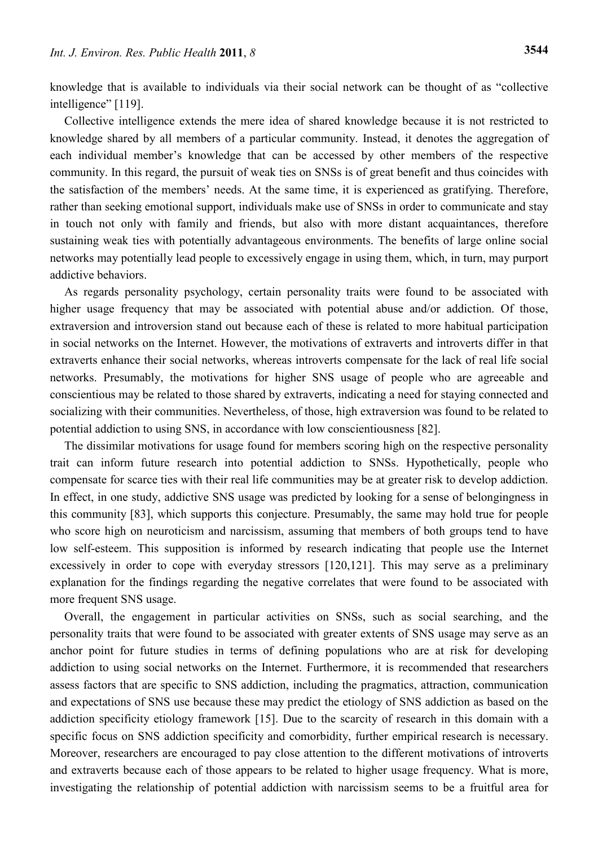knowledge that is available to individuals via their social network can be thought of as "collective intelligence" [119].

Collective intelligence extends the mere idea of shared knowledge because it is not restricted to knowledge shared by all members of a particular community. Instead, it denotes the aggregation of each individual member's knowledge that can be accessed by other members of the respective community. In this regard, the pursuit of weak ties on SNSs is of great benefit and thus coincides with the satisfaction of the members' needs. At the same time, it is experienced as gratifying. Therefore, rather than seeking emotional support, individuals make use of SNSs in order to communicate and stay in touch not only with family and friends, but also with more distant acquaintances, therefore sustaining weak ties with potentially advantageous environments. The benefits of large online social networks may potentially lead people to excessively engage in using them, which, in turn, may purport addictive behaviors.

As regards personality psychology, certain personality traits were found to be associated with higher usage frequency that may be associated with potential abuse and/or addiction. Of those, extraversion and introversion stand out because each of these is related to more habitual participation in social networks on the Internet. However, the motivations of extraverts and introverts differ in that extraverts enhance their social networks, whereas introverts compensate for the lack of real life social networks. Presumably, the motivations for higher SNS usage of people who are agreeable and conscientious may be related to those shared by extraverts, indicating a need for staying connected and socializing with their communities. Nevertheless, of those, high extraversion was found to be related to potential addiction to using SNS, in accordance with low conscientiousness [82].

The dissimilar motivations for usage found for members scoring high on the respective personality trait can inform future research into potential addiction to SNSs. Hypothetically, people who compensate for scarce ties with their real life communities may be at greater risk to develop addiction. In effect, in one study, addictive SNS usage was predicted by looking for a sense of belongingness in this community [83], which supports this conjecture. Presumably, the same may hold true for people who score high on neuroticism and narcissism, assuming that members of both groups tend to have low self-esteem. This supposition is informed by research indicating that people use the Internet excessively in order to cope with everyday stressors [120,121]. This may serve as a preliminary explanation for the findings regarding the negative correlates that were found to be associated with more frequent SNS usage.

Overall, the engagement in particular activities on SNSs, such as social searching, and the personality traits that were found to be associated with greater extents of SNS usage may serve as an anchor point for future studies in terms of defining populations who are at risk for developing addiction to using social networks on the Internet. Furthermore, it is recommended that researchers assess factors that are specific to SNS addiction, including the pragmatics, attraction, communication and expectations of SNS use because these may predict the etiology of SNS addiction as based on the addiction specificity etiology framework [15]. Due to the scarcity of research in this domain with a specific focus on SNS addiction specificity and comorbidity, further empirical research is necessary. Moreover, researchers are encouraged to pay close attention to the different motivations of introverts and extraverts because each of those appears to be related to higher usage frequency. What is more, investigating the relationship of potential addiction with narcissism seems to be a fruitful area for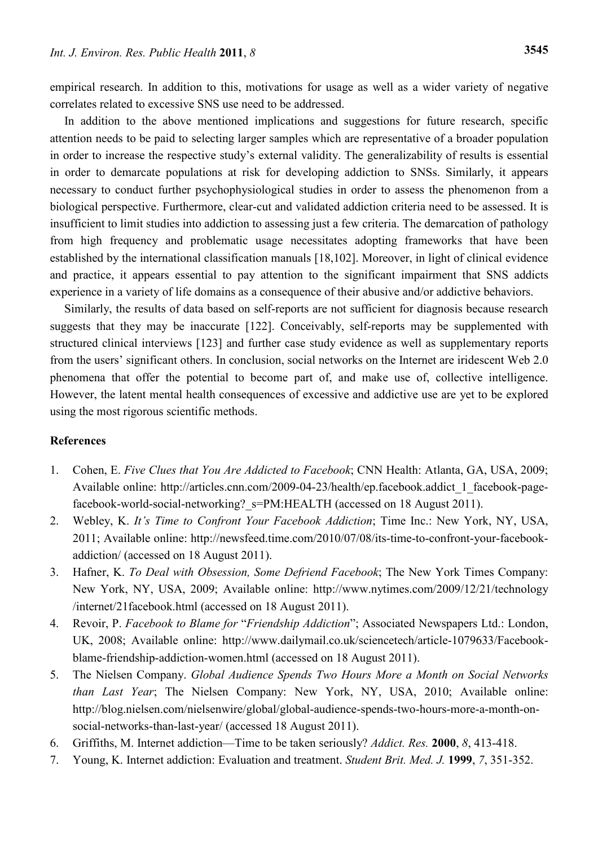empirical research. In addition to this, motivations for usage as well as a wider variety of negative correlates related to excessive SNS use need to be addressed.

In addition to the above mentioned implications and suggestions for future research, specific attention needs to be paid to selecting larger samples which are representative of a broader population in order to increase the respective study's external validity. The generalizability of results is essential in order to demarcate populations at risk for developing addiction to SNSs. Similarly, it appears necessary to conduct further psychophysiological studies in order to assess the phenomenon from a biological perspective. Furthermore, clear-cut and validated addiction criteria need to be assessed. It is insufficient to limit studies into addiction to assessing just a few criteria. The demarcation of pathology from high frequency and problematic usage necessitates adopting frameworks that have been established by the international classification manuals [18,102]. Moreover, in light of clinical evidence and practice, it appears essential to pay attention to the significant impairment that SNS addicts experience in a variety of life domains as a consequence of their abusive and/or addictive behaviors.

Similarly, the results of data based on self-reports are not sufficient for diagnosis because research suggests that they may be inaccurate [122]. Conceivably, self-reports may be supplemented with structured clinical interviews [123] and further case study evidence as well as supplementary reports from the users' significant others. In conclusion, social networks on the Internet are iridescent Web 2.0 phenomena that offer the potential to become part of, and make use of, collective intelligence. However, the latent mental health consequences of excessive and addictive use are yet to be explored using the most rigorous scientific methods.

## References

- 1. Cohen, E. Five Clues that You Are Addicted to Facebook; CNN Health: Atlanta, GA, USA, 2009; Available online: http://articles.cnn.com/2009-04-23/health/ep.facebook.addict\_1\_facebook-pagefacebook-world-social-networking? s=PM:HEALTH (accessed on 18 August 2011).
- 2. Webley, K. It's Time to Confront Your Facebook Addiction; Time Inc.: New York, NY, USA, 2011; Available online: http://newsfeed.time.com/2010/07/08/its-time-to-confront-your-facebookaddiction/ (accessed on 18 August 2011).
- 3. Hafner, K. To Deal with Obsession, Some Defriend Facebook; The New York Times Company: New York, NY, USA, 2009; Available online: http://www.nytimes.com/2009/12/21/technology /internet/21facebook.html (accessed on 18 August 2011).
- 4. Revoir, P. Facebook to Blame for "Friendship Addiction"; Associated Newspapers Ltd.: London, UK, 2008; Available online: http://www.dailymail.co.uk/sciencetech/article-1079633/Facebookblame-friendship-addiction-women.html (accessed on 18 August 2011).
- 5. The Nielsen Company. Global Audience Spends Two Hours More a Month on Social Networks than Last Year; The Nielsen Company: New York, NY, USA, 2010; Available online: http://blog.nielsen.com/nielsenwire/global/global-audience-spends-two-hours-more-a-month-onsocial-networks-than-last-year/ (accessed 18 August 2011).
- 6. Griffiths, M. Internet addiction—Time to be taken seriously? Addict. Res. 2000, 8, 413-418.
- 7. Young, K. Internet addiction: Evaluation and treatment. Student Brit. Med. J. 1999, 7, 351-352.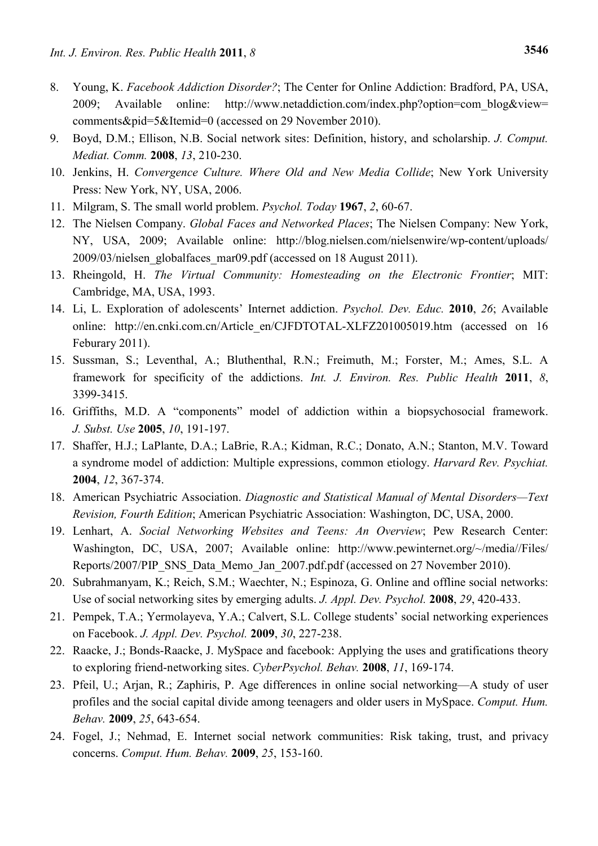- 8. Young, K. Facebook Addiction Disorder?; The Center for Online Addiction: Bradford, PA, USA, 2009; Available online: http://www.netaddiction.com/index.php?option=com\_blog&view= comments&pid=5&Itemid=0 (accessed on 29 November 2010).
- 9. Boyd, D.M.; Ellison, N.B. Social network sites: Definition, history, and scholarship. J. Comput. Mediat. Comm. 2008, 13, 210-230.
- 10. Jenkins, H. Convergence Culture. Where Old and New Media Collide; New York University Press: New York, NY, USA, 2006.
- 11. Milgram, S. The small world problem. Psychol. Today 1967, 2, 60-67.
- 12. The Nielsen Company. Global Faces and Networked Places; The Nielsen Company: New York, NY, USA, 2009; Available online: http://blog.nielsen.com/nielsenwire/wp-content/uploads/ 2009/03/nielsen\_globalfaces\_mar09.pdf (accessed on 18 August 2011).
- 13. Rheingold, H. The Virtual Community: Homesteading on the Electronic Frontier; MIT: Cambridge, MA, USA, 1993.
- 14. Li, L. Exploration of adolescents' Internet addiction. Psychol. Dev. Educ. 2010, 26; Available online: http://en.cnki.com.cn/Article\_en/CJFDTOTAL-XLFZ201005019.htm (accessed on 16 Feburary 2011).
- 15. Sussman, S.; Leventhal, A.; Bluthenthal, R.N.; Freimuth, M.; Forster, M.; Ames, S.L. A framework for specificity of the addictions. Int. J. Environ. Res. Public Health 2011, 8, 3399-3415.
- 16. Griffiths, M.D. A "components" model of addiction within a biopsychosocial framework. J. Subst. Use 2005, 10, 191-197.
- 17. Shaffer, H.J.; LaPlante, D.A.; LaBrie, R.A.; Kidman, R.C.; Donato, A.N.; Stanton, M.V. Toward a syndrome model of addiction: Multiple expressions, common etiology. Harvard Rev. Psychiat. 2004, 12, 367-374.
- 18. American Psychiatric Association. Diagnostic and Statistical Manual of Mental Disorders—Text Revision, Fourth Edition; American Psychiatric Association: Washington, DC, USA, 2000.
- 19. Lenhart, A. Social Networking Websites and Teens: An Overview; Pew Research Center: Washington, DC, USA, 2007; Available online: http://www.pewinternet.org/~/media//Files/ Reports/2007/PIP\_SNS\_Data\_Memo\_Jan\_2007.pdf.pdf (accessed on 27 November 2010).
- 20. Subrahmanyam, K.; Reich, S.M.; Waechter, N.; Espinoza, G. Online and offline social networks: Use of social networking sites by emerging adults. J. Appl. Dev. Psychol. 2008, 29, 420-433.
- 21. Pempek, T.A.; Yermolayeva, Y.A.; Calvert, S.L. College students' social networking experiences on Facebook. J. Appl. Dev. Psychol. 2009, 30, 227-238.
- 22. Raacke, J.; Bonds-Raacke, J. MySpace and facebook: Applying the uses and gratifications theory to exploring friend-networking sites. CyberPsychol. Behav. 2008, 11, 169-174.
- 23. Pfeil, U.; Arjan, R.; Zaphiris, P. Age differences in online social networking—A study of user profiles and the social capital divide among teenagers and older users in MySpace. Comput. Hum. Behav. 2009, 25, 643-654.
- 24. Fogel, J.; Nehmad, E. Internet social network communities: Risk taking, trust, and privacy concerns. Comput. Hum. Behav. 2009, 25, 153-160.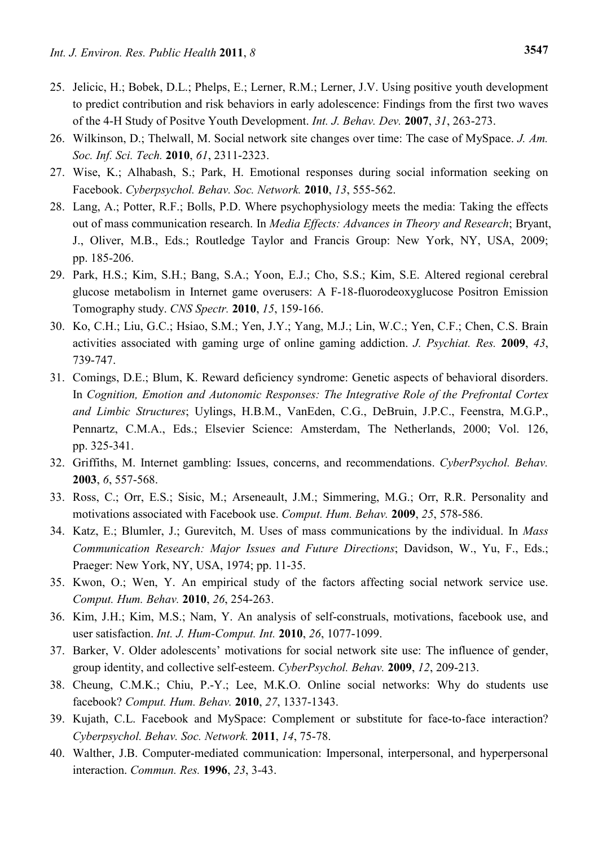- 25. Jelicic, H.; Bobek, D.L.; Phelps, E.; Lerner, R.M.; Lerner, J.V. Using positive youth development to predict contribution and risk behaviors in early adolescence: Findings from the first two waves of the 4-H Study of Positve Youth Development. Int. J. Behav. Dev. 2007, 31, 263-273.
- 26. Wilkinson, D.; Thelwall, M. Social network site changes over time: The case of MySpace. J. Am. Soc. Inf. Sci. Tech. 2010, 61, 2311-2323.
- 27. Wise, K.; Alhabash, S.; Park, H. Emotional responses during social information seeking on Facebook. Cyberpsychol. Behav. Soc. Network. 2010, 13, 555-562.
- 28. Lang, A.; Potter, R.F.; Bolls, P.D. Where psychophysiology meets the media: Taking the effects out of mass communication research. In Media Effects: Advances in Theory and Research; Bryant, J., Oliver, M.B., Eds.; Routledge Taylor and Francis Group: New York, NY, USA, 2009; pp. 185-206.
- 29. Park, H.S.; Kim, S.H.; Bang, S.A.; Yoon, E.J.; Cho, S.S.; Kim, S.E. Altered regional cerebral glucose metabolism in Internet game overusers: A F-18-fluorodeoxyglucose Positron Emission Tomography study. CNS Spectr. 2010, 15, 159-166.
- 30. Ko, C.H.; Liu, G.C.; Hsiao, S.M.; Yen, J.Y.; Yang, M.J.; Lin, W.C.; Yen, C.F.; Chen, C.S. Brain activities associated with gaming urge of online gaming addiction. J. Psychiat. Res. 2009, 43, 739-747.
- 31. Comings, D.E.; Blum, K. Reward deficiency syndrome: Genetic aspects of behavioral disorders. In Cognition, Emotion and Autonomic Responses: The Integrative Role of the Prefrontal Cortex and Limbic Structures; Uylings, H.B.M., VanEden, C.G., DeBruin, J.P.C., Feenstra, M.G.P., Pennartz, C.M.A., Eds.; Elsevier Science: Amsterdam, The Netherlands, 2000; Vol. 126, pp. 325-341.
- 32. Griffiths, M. Internet gambling: Issues, concerns, and recommendations. CyberPsychol. Behav. 2003, 6, 557-568.
- 33. Ross, C.; Orr, E.S.; Sisic, M.; Arseneault, J.M.; Simmering, M.G.; Orr, R.R. Personality and motivations associated with Facebook use. Comput. Hum. Behav. 2009, 25, 578-586.
- 34. Katz, E.; Blumler, J.; Gurevitch, M. Uses of mass communications by the individual. In Mass Communication Research: Major Issues and Future Directions; Davidson, W., Yu, F., Eds.; Praeger: New York, NY, USA, 1974; pp. 11-35.
- 35. Kwon, O.; Wen, Y. An empirical study of the factors affecting social network service use. Comput. Hum. Behav. 2010, 26, 254-263.
- 36. Kim, J.H.; Kim, M.S.; Nam, Y. An analysis of self-construals, motivations, facebook use, and user satisfaction. Int. J. Hum-Comput. Int. 2010, 26, 1077-1099.
- 37. Barker, V. Older adolescents' motivations for social network site use: The influence of gender, group identity, and collective self-esteem. CyberPsychol. Behav. 2009, 12, 209-213.
- 38. Cheung, C.M.K.; Chiu, P.-Y.; Lee, M.K.O. Online social networks: Why do students use facebook? Comput. Hum. Behav. 2010, 27, 1337-1343.
- 39. Kujath, C.L. Facebook and MySpace: Complement or substitute for face-to-face interaction? Cyberpsychol. Behav. Soc. Network. 2011, 14, 75-78.
- 40. Walther, J.B. Computer-mediated communication: Impersonal, interpersonal, and hyperpersonal interaction. Commun. Res. 1996, 23, 3-43.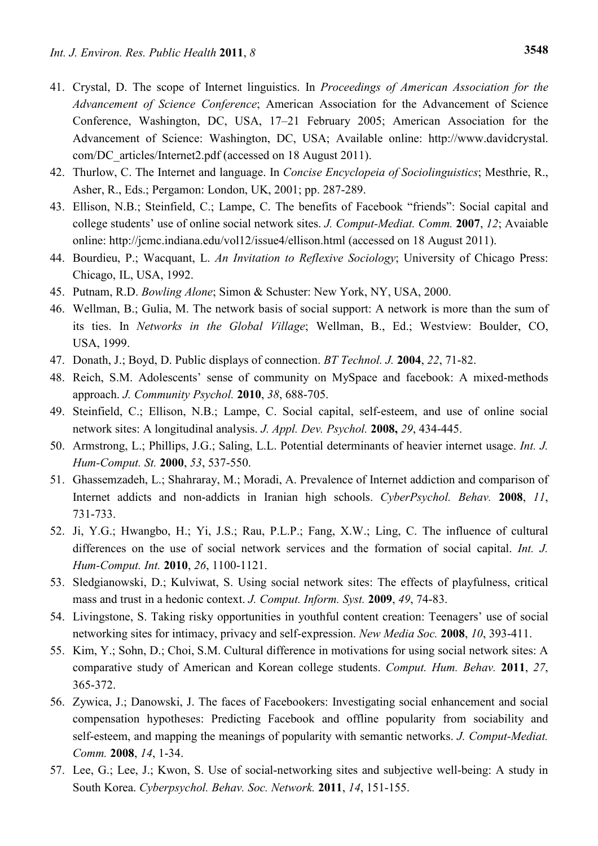- 41. Crystal, D. The scope of Internet linguistics. In Proceedings of American Association for the Advancement of Science Conference; American Association for the Advancement of Science Conference, Washington, DC, USA, 17–21 February 2005; American Association for the Advancement of Science: Washington, DC, USA; Available online: http://www.davidcrystal. com/DC\_articles/Internet2.pdf (accessed on 18 August 2011).
- 42. Thurlow, C. The Internet and language. In *Concise Encyclopeia of Sociolinguistics*; Mesthrie, R., Asher, R., Eds.; Pergamon: London, UK, 2001; pp. 287-289.
- 43. Ellison, N.B.; Steinfield, C.; Lampe, C. The benefits of Facebook "friends": Social capital and college students' use of online social network sites. J. Comput-Mediat. Comm. 2007, 12; Avaiable online: http://jcmc.indiana.edu/vol12/issue4/ellison.html (accessed on 18 August 2011).
- 44. Bourdieu, P.; Wacquant, L. An Invitation to Reflexive Sociology; University of Chicago Press: Chicago, IL, USA, 1992.
- 45. Putnam, R.D. Bowling Alone; Simon & Schuster: New York, NY, USA, 2000.
- 46. Wellman, B.; Gulia, M. The network basis of social support: A network is more than the sum of its ties. In Networks in the Global Village; Wellman, B., Ed.; Westview: Boulder, CO, USA, 1999.
- 47. Donath, J.; Boyd, D. Public displays of connection. BT Technol. J. 2004, 22, 71-82.
- 48. Reich, S.M. Adolescents' sense of community on MySpace and facebook: A mixed-methods approach. J. Community Psychol. 2010, 38, 688-705.
- 49. Steinfield, C.; Ellison, N.B.; Lampe, C. Social capital, self-esteem, and use of online social network sites: A longitudinal analysis. J. Appl. Dev. Psychol. 2008, 29, 434-445.
- 50. Armstrong, L.; Phillips, J.G.; Saling, L.L. Potential determinants of heavier internet usage. Int. J. Hum-Comput. St. 2000, 53, 537-550.
- 51. Ghassemzadeh, L.; Shahraray, M.; Moradi, A. Prevalence of Internet addiction and comparison of Internet addicts and non-addicts in Iranian high schools. CyberPsychol. Behav. 2008, 11, 731-733.
- 52. Ji, Y.G.; Hwangbo, H.; Yi, J.S.; Rau, P.L.P.; Fang, X.W.; Ling, C. The influence of cultural differences on the use of social network services and the formation of social capital. Int. J. Hum-Comput. Int. 2010, 26, 1100-1121.
- 53. Sledgianowski, D.; Kulviwat, S. Using social network sites: The effects of playfulness, critical mass and trust in a hedonic context. J. Comput. Inform. Syst. 2009, 49, 74-83.
- 54. Livingstone, S. Taking risky opportunities in youthful content creation: Teenagers' use of social networking sites for intimacy, privacy and self-expression. New Media Soc. 2008, 10, 393-411.
- 55. Kim, Y.; Sohn, D.; Choi, S.M. Cultural difference in motivations for using social network sites: A comparative study of American and Korean college students. Comput. Hum. Behav. 2011, 27, 365-372.
- 56. Zywica, J.; Danowski, J. The faces of Facebookers: Investigating social enhancement and social compensation hypotheses: Predicting Facebook and offline popularity from sociability and self-esteem, and mapping the meanings of popularity with semantic networks. J. Comput-Mediat. Comm. 2008, 14, 1-34.
- 57. Lee, G.; Lee, J.; Kwon, S. Use of social-networking sites and subjective well-being: A study in South Korea. Cyberpsychol. Behav. Soc. Network. 2011, 14, 151-155.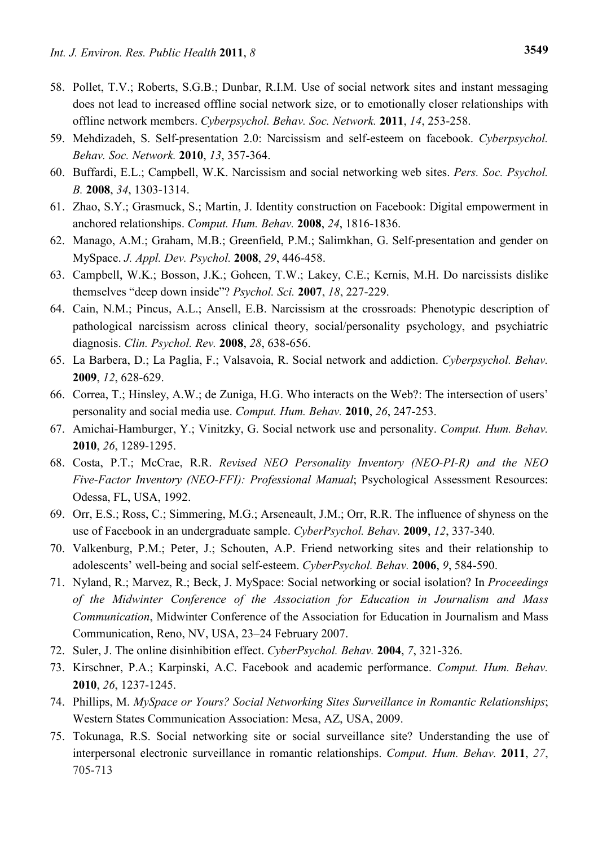- 58. Pollet, T.V.; Roberts, S.G.B.; Dunbar, R.I.M. Use of social network sites and instant messaging does not lead to increased offline social network size, or to emotionally closer relationships with offline network members. Cyberpsychol. Behav. Soc. Network. 2011, 14, 253-258.
- 59. Mehdizadeh, S. Self-presentation 2.0: Narcissism and self-esteem on facebook. Cyberpsychol. Behav. Soc. Network. 2010, 13, 357-364.
- 60. Buffardi, E.L.; Campbell, W.K. Narcissism and social networking web sites. Pers. Soc. Psychol. B. 2008, 34, 1303-1314.
- 61. Zhao, S.Y.; Grasmuck, S.; Martin, J. Identity construction on Facebook: Digital empowerment in anchored relationships. Comput. Hum. Behav. 2008, 24, 1816-1836.
- 62. Manago, A.M.; Graham, M.B.; Greenfield, P.M.; Salimkhan, G. Self-presentation and gender on MySpace. J. Appl. Dev. Psychol. 2008, 29, 446-458.
- 63. Campbell, W.K.; Bosson, J.K.; Goheen, T.W.; Lakey, C.E.; Kernis, M.H. Do narcissists dislike themselves "deep down inside"? Psychol. Sci. 2007, 18, 227-229.
- 64. Cain, N.M.; Pincus, A.L.; Ansell, E.B. Narcissism at the crossroads: Phenotypic description of pathological narcissism across clinical theory, social/personality psychology, and psychiatric diagnosis. Clin. Psychol. Rev. 2008, 28, 638-656.
- 65. La Barbera, D.; La Paglia, F.; Valsavoia, R. Social network and addiction. Cyberpsychol. Behav. 2009, 12, 628-629.
- 66. Correa, T.; Hinsley, A.W.; de Zuniga, H.G. Who interacts on the Web?: The intersection of users' personality and social media use. Comput. Hum. Behav. 2010, 26, 247-253.
- 67. Amichai-Hamburger, Y.; Vinitzky, G. Social network use and personality. Comput. Hum. Behav. 2010, 26, 1289-1295.
- 68. Costa, P.T.; McCrae, R.R. Revised NEO Personality Inventory (NEO-PI-R) and the NEO Five-Factor Inventory (NEO-FFI): Professional Manual; Psychological Assessment Resources: Odessa, FL, USA, 1992.
- 69. Orr, E.S.; Ross, C.; Simmering, M.G.; Arseneault, J.M.; Orr, R.R. The influence of shyness on the use of Facebook in an undergraduate sample. CyberPsychol. Behav. 2009, 12, 337-340.
- 70. Valkenburg, P.M.; Peter, J.; Schouten, A.P. Friend networking sites and their relationship to adolescents' well-being and social self-esteem. CyberPsychol. Behav. 2006, 9, 584-590.
- 71. Nyland, R.; Marvez, R.; Beck, J. MySpace: Social networking or social isolation? In Proceedings of the Midwinter Conference of the Association for Education in Journalism and Mass Communication, Midwinter Conference of the Association for Education in Journalism and Mass Communication, Reno, NV, USA, 23–24 February 2007.
- 72. Suler, J. The online disinhibition effect. CyberPsychol. Behav. 2004, 7, 321-326.
- 73. Kirschner, P.A.; Karpinski, A.C. Facebook and academic performance. Comput. Hum. Behav. 2010, 26, 1237-1245.
- 74. Phillips, M. MySpace or Yours? Social Networking Sites Surveillance in Romantic Relationships; Western States Communication Association: Mesa, AZ, USA, 2009.
- 75. Tokunaga, R.S. Social networking site or social surveillance site? Understanding the use of interpersonal electronic surveillance in romantic relationships. Comput. Hum. Behav. 2011, 27, 705-713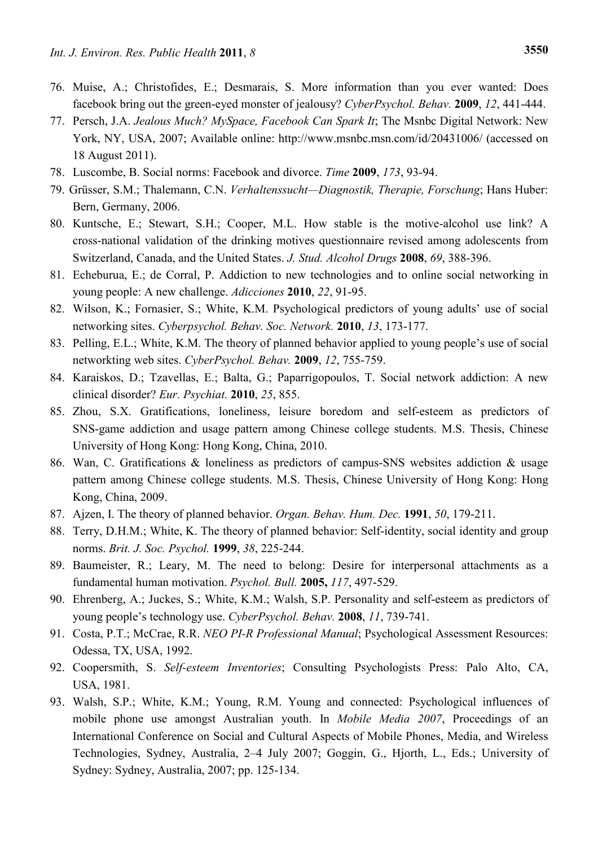- 76. Muise, A.; Christofides, E.; Desmarais, S. More information than you ever wanted: Does facebook bring out the green-eyed monster of jealousy? CyberPsychol. Behav. 2009, 12, 441-444.
- 77. Persch, J.A. Jealous Much? MySpace, Facebook Can Spark It; The Msnbc Digital Network: New York, NY, USA, 2007; Available online: http://www.msnbc.msn.com/id/20431006/ (accessed on 18 August 2011).
- 78. Luscombe, B. Social norms: Facebook and divorce. Time 2009, 173, 93-94.
- 79. Grüsser, S.M.; Thalemann, C.N. Verhaltenssucht—Diagnostik, Therapie, Forschung; Hans Huber: Bern, Germany, 2006.
- 80. Kuntsche, E.; Stewart, S.H.; Cooper, M.L. How stable is the motive-alcohol use link? A cross-national validation of the drinking motives questionnaire revised among adolescents from Switzerland, Canada, and the United States. J. Stud. Alcohol Drugs 2008, 69, 388-396.
- 81. Echeburua, E.; de Corral, P. Addiction to new technologies and to online social networking in young people: A new challenge. Adicciones 2010, 22, 91-95.
- 82. Wilson, K.; Fornasier, S.; White, K.M. Psychological predictors of young adults' use of social networking sites. Cyberpsychol. Behav. Soc. Network. 2010, 13, 173-177.
- 83. Pelling, E.L.; White, K.M. The theory of planned behavior applied to young people's use of social networkting web sites. CyberPsychol. Behav. 2009, 12, 755-759.
- 84. Karaiskos, D.; Tzavellas, E.; Balta, G.; Paparrigopoulos, T. Social network addiction: A new clinical disorder? Eur. Psychiat. 2010, 25, 855.
- 85. Zhou, S.X. Gratifications, loneliness, leisure boredom and self-esteem as predictors of SNS-game addiction and usage pattern among Chinese college students. M.S. Thesis, Chinese University of Hong Kong: Hong Kong, China, 2010.
- 86. Wan, C. Gratifications & loneliness as predictors of campus-SNS websites addiction & usage pattern among Chinese college students. M.S. Thesis, Chinese University of Hong Kong: Hong Kong, China, 2009.
- 87. Ajzen, I. The theory of planned behavior. Organ. Behav. Hum. Dec. 1991, 50, 179-211.
- 88. Terry, D.H.M.; White, K. The theory of planned behavior: Self-identity, social identity and group norms. Brit. J. Soc. Psychol. 1999, 38, 225-244.
- 89. Baumeister, R.; Leary, M. The need to belong: Desire for interpersonal attachments as a fundamental human motivation. Psychol. Bull. 2005, 117, 497-529.
- 90. Ehrenberg, A.; Juckes, S.; White, K.M.; Walsh, S.P. Personality and self-esteem as predictors of young people's technology use. CyberPsychol. Behav. 2008, 11, 739-741.
- 91. Costa, P.T.; McCrae, R.R. NEO PI-R Professional Manual; Psychological Assessment Resources: Odessa, TX, USA, 1992.
- 92. Coopersmith, S. Self-esteem Inventories; Consulting Psychologists Press: Palo Alto, CA, USA, 1981.
- 93. Walsh, S.P.; White, K.M.; Young, R.M. Young and connected: Psychological influences of mobile phone use amongst Australian youth. In Mobile Media 2007, Proceedings of an International Conference on Social and Cultural Aspects of Mobile Phones, Media, and Wireless Technologies, Sydney, Australia, 2–4 July 2007; Goggin, G., Hjorth, L., Eds.; University of Sydney: Sydney, Australia, 2007; pp. 125-134.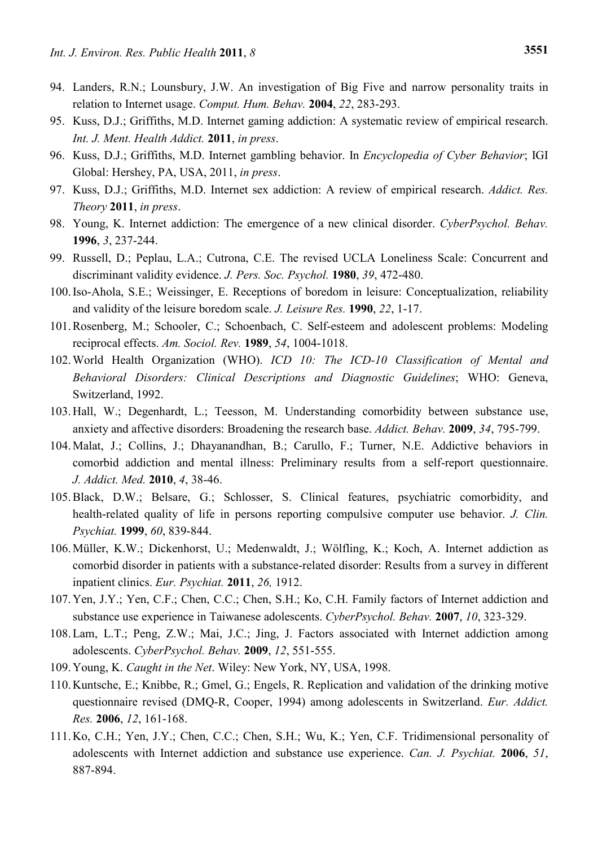- 94. Landers, R.N.; Lounsbury, J.W. An investigation of Big Five and narrow personality traits in relation to Internet usage. Comput. Hum. Behav. 2004, 22, 283-293.
- 95. Kuss, D.J.; Griffiths, M.D. Internet gaming addiction: A systematic review of empirical research. Int. J. Ment. Health Addict. 2011, in press.
- 96. Kuss, D.J.; Griffiths, M.D. Internet gambling behavior. In *Encyclopedia of Cyber Behavior*; IGI Global: Hershey, PA, USA, 2011, in press.
- 97. Kuss, D.J.; Griffiths, M.D. Internet sex addiction: A review of empirical research. Addict. Res. Theory 2011, in press.
- 98. Young, K. Internet addiction: The emergence of a new clinical disorder. CyberPsychol. Behav. 1996, 3, 237-244.
- 99. Russell, D.; Peplau, L.A.; Cutrona, C.E. The revised UCLA Loneliness Scale: Concurrent and discriminant validity evidence. J. Pers. Soc. Psychol. 1980, 39, 472-480.
- 100. Iso-Ahola, S.E.; Weissinger, E. Receptions of boredom in leisure: Conceptualization, reliability and validity of the leisure boredom scale. J. Leisure Res. 1990, 22, 1-17.
- 101. Rosenberg, M.; Schooler, C.; Schoenbach, C. Self-esteem and adolescent problems: Modeling reciprocal effects. Am. Sociol. Rev. 1989, 54, 1004-1018.
- 102. World Health Organization (WHO). ICD 10: The ICD-10 Classification of Mental and Behavioral Disorders: Clinical Descriptions and Diagnostic Guidelines; WHO: Geneva, Switzerland, 1992.
- 103. Hall, W.; Degenhardt, L.; Teesson, M. Understanding comorbidity between substance use, anxiety and affective disorders: Broadening the research base. Addict. Behav. 2009, 34, 795-799.
- 104. Malat, J.; Collins, J.; Dhayanandhan, B.; Carullo, F.; Turner, N.E. Addictive behaviors in comorbid addiction and mental illness: Preliminary results from a self-report questionnaire. J. Addict. Med. 2010, 4, 38-46.
- 105. Black, D.W.; Belsare, G.; Schlosser, S. Clinical features, psychiatric comorbidity, and health-related quality of life in persons reporting compulsive computer use behavior. J. Clin. Psychiat. 1999, 60, 839-844.
- 106. Müller, K.W.; Dickenhorst, U.; Medenwaldt, J.; Wölfling, K.; Koch, A. Internet addiction as comorbid disorder in patients with a substance-related disorder: Results from a survey in different inpatient clinics. Eur. Psychiat. 2011, 26, 1912.
- 107. Yen, J.Y.; Yen, C.F.; Chen, C.C.; Chen, S.H.; Ko, C.H. Family factors of Internet addiction and substance use experience in Taiwanese adolescents. CyberPsychol. Behav. 2007, 10, 323-329.
- 108. Lam, L.T.; Peng, Z.W.; Mai, J.C.; Jing, J. Factors associated with Internet addiction among adolescents. CyberPsychol. Behav. 2009, 12, 551-555.
- 109. Young, K. Caught in the Net. Wiley: New York, NY, USA, 1998.
- 110. Kuntsche, E.; Knibbe, R.; Gmel, G.; Engels, R. Replication and validation of the drinking motive questionnaire revised (DMQ-R, Cooper, 1994) among adolescents in Switzerland. Eur. Addict. Res. 2006, 12, 161-168.
- 111. Ko, C.H.; Yen, J.Y.; Chen, C.C.; Chen, S.H.; Wu, K.; Yen, C.F. Tridimensional personality of adolescents with Internet addiction and substance use experience. Can. J. Psychiat. 2006, 51, 887-894.